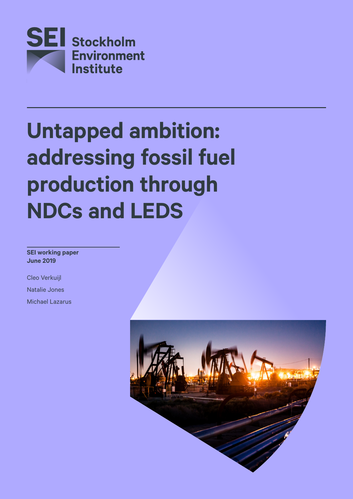

# **Untapped ambition: addressing fossil fuel production through NDCs and LEDS**

**SEI working paper June 2019**

Cleo Verkuijl Natalie Jones Michael Lazarus

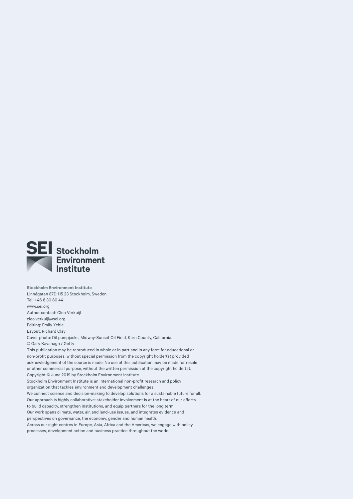

**Stockholm Environment Institute**  Linnégatan 87D 115 23 Stockholm, Sweden Tel: +46 8 30 80 44 [www.sei.org](http://www.sei.org) Author contact: Cleo Verkuijl [cleo.verkuijl@sei.org](mailto:cleo.verkuijl@sei.org) Editing: Emily Yehle Layout: Richard Clay Cover photo: Oil pumpjacks, Midway-Sunset Oil Field, Kern County, California. © Gary Kavanagh / Getty This publication may be reproduced in whole or in part and in any form for educational or non-profit purposes, without special permission from the copyright holder(s) provided acknowledgement of the source is made. No use of this publication may be made for resale or other commercial purpose, without the written permission of the copyright holder(s). Copyright © June 2019 by Stockholm Environment Institute Stockholm Environment Institute is an international non-profit research and policy organization that tackles environment and development challenges. We connect science and decision-making to develop solutions for a sustainable future for all. Our approach is highly collaborative: stakeholder involvement is at the heart of our efforts to build capacity, strengthen institutions, and equip partners for the long term. Our work spans climate, water, air, and land-use issues, and integrates evidence and perspectives on governance, the economy, gender and human health. Across our eight centres in Europe, Asia, Africa and the Americas, we engage with policy processes, development action and business practice throughout the world.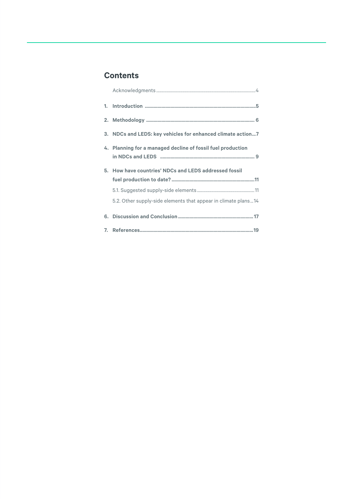# **Contents**

| 3. NDCs and LEDS: key vehicles for enhanced climate action7    |
|----------------------------------------------------------------|
| 4. Planning for a managed decline of fossil fuel production    |
|                                                                |
|                                                                |
| 5. How have countries' NDCs and LEDS addressed fossil          |
|                                                                |
|                                                                |
| 5.2. Other supply-side elements that appear in climate plans14 |
|                                                                |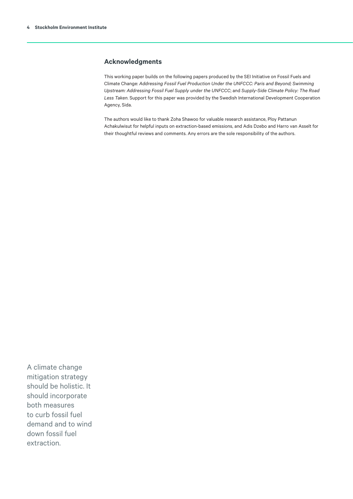## <span id="page-3-0"></span>**Acknowledgments**

This working paper builds on the following papers produced by the SEI Initiative on Fossil Fuels and Climate Change: *Addressing Fossil Fuel Production Under the UNFCCC: Paris and Beyond; Swimming Upstream: Addressing Fossil Fuel Supply under the UNFCCC*; and *Supply-Side Climate Policy: The Road Less Taken*. Support for this paper was provided by the Swedish International Development Cooperation Agency, Sida.

The authors would like to thank Zoha Shawoo for valuable research assistance, Ploy Pattanun Achakulwisut for helpful inputs on extraction-based emissions, and Adis Dzebo and Harro van Asselt for their thoughtful reviews and comments. Any errors are the sole responsibility of the authors.

A climate change mitigation strategy should be holistic. It should incorporate both measures to curb fossil fuel demand and to wind down fossil fuel extraction.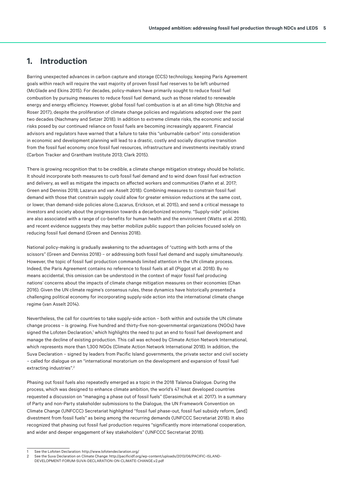# <span id="page-4-0"></span>**1. Introduction**

Barring unexpected advances in carbon capture and storage (CCS) technology, keeping Paris Agreement goals within reach will require the vast majority of proven fossil fuel reserves to be left unburned (McGlade and Ekins 2015). For decades, policy-makers have primarily sought to reduce fossil fuel combustion by pursuing measures to reduce fossil fuel demand, such as those related to renewable energy and energy efficiency. However, global fossil fuel combustion is at an all-time high (Ritchie and Roser 2017), despite the proliferation of climate change policies and regulations adopted over the past two decades (Nachmany and Setzer 2018). In addition to extreme climate risks, the economic and social risks posed by our continued reliance on fossil fuels are becoming increasingly apparent. Financial advisors and regulators have warned that a failure to take this "unburnable carbon" into consideration in economic and development planning will lead to a drastic, costly and socially disruptive transition from the fossil fuel economy once fossil fuel resources, infrastructure and investments inevitably strand (Carbon Tracker and Grantham Institute 2013; Clark 2015).

There is growing recognition that to be credible, a climate change mitigation strategy should be holistic. It should incorporate both measures to curb fossil fuel demand *and* to wind down fossil fuel extraction and delivery, as well as mitigate the impacts on affected workers and communities (Fæhn et al. 2017; Green and Denniss 2018; Lazarus and van Asselt 2018). Combining measures to constrain fossil fuel demand with those that constrain supply could allow for greater emission reductions at the same cost, or lower, than demand-side policies alone (Lazarus, Erickson, et al. 2015), and send a critical message to investors and society about the progression towards a decarbonized economy. "Supply-side" policies are also associated with a range of co-benefits for human health and the environment (Watts et al. 2018), and recent evidence suggests they may better mobilize public support than policies focused solely on reducing fossil fuel demand (Green and Denniss 2018).

National policy-making is gradually awakening to the advantages of "cutting with both arms of the scissors" (Green and Denniss 2018) – or addressing both fossil fuel demand and supply simultaneously. However, the topic of fossil fuel production commands limited attention in the UN climate process. Indeed, the Paris Agreement contains no reference to fossil fuels at all (Piggot et al. 2018). By no means accidental, this omission can be understood in the context of major fossil fuel producing nations' concerns about the impacts of climate change mitigation measures on their economies (Chan 2016). Given the UN climate regime's consensus rules, these dynamics have historically presented a challenging political economy for incorporating supply-side action into the international climate change regime (van Asselt 2014).

Nevertheless, the call for countries to take supply-side action – both within and outside the UN climate change process – is growing. Five hundred and thirty-five non-governmental organizations (NGOs) have signed the Lofoten Declaration,<sup>1</sup> which highlights the need to put an end to fossil fuel development and manage the decline of existing production. This call was echoed by Climate Action Network International, which represents more than 1,300 NGOs (Climate Action Network International 2018). In addition, the Suva Declaration – signed by leaders from Pacific Island governments, the private sector and civil society – called for dialogue on an "international moratorium on the development and expansion of fossil fuel extracting industries".<sup>2</sup>

Phasing out fossil fuels also repeatedly emerged as a topic in the 2018 Talanoa Dialogue. During the process, which was designed to enhance climate ambition, the world's 47 least developed countries requested a discussion on "managing a phase out of fossil fuels" (Gerasimchuk et al. 2017). In a summary of Party and non-Party stakeholder submissions to the Dialogue, the UN Framework Convention on Climate Change (UNFCCC) Secretariat highlighted "fossil fuel phase-out, fossil fuel subsidy reform, [and] divestment from fossil fuels" as being among the recurring demands (UNFCCC Secretariat 2018). It also recognized that phasing out fossil fuel production requires "significantly more international cooperation, and wider and deeper engagement of key stakeholders" (UNFCCC Secretariat 2018).

See the Lofoten Declaration:<http://www.lofotendeclaration.org/>

<sup>2</sup> See the Suva Declaration on Climate Change: [http://pacificidf.org/wp-content/uploads/2013/06/PACIFIC-ISLAND-](http://pacificidf.org/wp-content/uploads/2013/06/PACIFIC-ISLAND-DEVELOPMENT-FORUM-SUVA-DECLARATION-ON-CLIMATE-CHANGE.v2.pdf)[DEVELOPMENT-FORUM-SUVA-DECLARATION-ON-CLIMATE-CHANGE.v2.pdf](http://pacificidf.org/wp-content/uploads/2013/06/PACIFIC-ISLAND-DEVELOPMENT-FORUM-SUVA-DECLARATION-ON-CLIMATE-CHANGE.v2.pdf)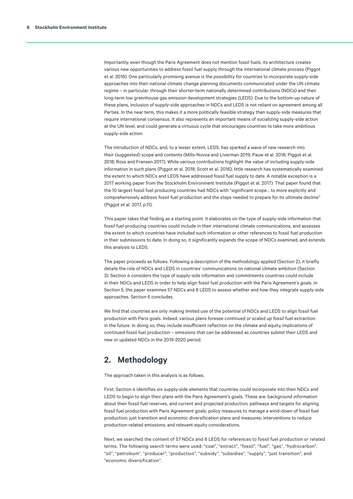<span id="page-5-0"></span>Importantly, even though the Paris Agreement does not mention fossil fuels, its architecture creates various new opportunities to address fossil fuel supply through the international climate process (Piggot et al. 2018). One particularly promising avenue is the possibility for countries to incorporate supply-side approaches into their national climate change planning documents communicated under the UN climate regime – in particular, through their shorter-term nationally determined contributions (NDCs) and their long-term low greenhouse gas emission development strategies (LEDS). Due to the bottom-up nature of these plans, inclusion of supply-side approaches in NDCs and LEDS is not reliant on agreement among all Parties. In the near term, this makes it a more politically feasible strategy than supply-side measures that require international consensus. It also represents an important means of socializing supply-side action at the UN level, and could generate a virtuous cycle that encourages countries to take more ambitious supply-side action.

The introduction of NDCs, and, to a lesser extent, LEDS, has sparked a wave of new research into their (suggested) scope and contents (Mills-Novoa and Liverman 2019; Pauw et al. 2018; Piggot et al. 2018; Ross and Fransen 2017). While various contributions highlight the value of including supply-side information in such plans (Piggot et al. 2018; Scott et al. 2016), little research has systematically examined the extent to which NDCs and LEDS have addressed fossil fuel supply to date. A notable exception is a 2017 working paper from the Stockholm Environment Institute (Piggot et al. 2017). That paper found that the 10 largest fossil fuel producing countries had NDCs with "significant scope... to more explicitly and comprehensively address fossil fuel production and the steps needed to prepare for its ultimate decline" (Piggot et al. 2017, p.11).

This paper takes that finding as a starting point. It elaborates on the type of supply-side information that fossil fuel producing countries could include in their international climate communications, and assesses the extent to which countries have included such information or other references to fossil fuel production in their submissions to date. In doing so, it significantly expands the scope of NDCs examined, and extends this analysis to LEDS.

The paper proceeds as follows. Following a description of the methodology applied (Section 2), it briefly details the role of NDCs and LEDS in countries' communications on national climate ambition (Section 3). Section 4 considers the type of supply-side information and commitments countries could include in their NDCs and LEDS in order to help align fossil fuel production with the Paris Agreement's goals. In Section 5, the paper examines 57 NDCs and 8 LEDS to assess whether and how they integrate supply-side approaches. Section 6 concludes.

We find that countries are only making limited use of the potential of NDCs and LEDS to align fossil fuel production with Paris goals. Indeed, various plans foresee continued or scaled up fossil fuel extraction in the future. In doing so, they include insufficient reflection on the climate and equity implications of continued fossil fuel production – omissions that can be addressed as countries submit their LEDS and new or updated NDCs in the 2019-2020 period.

# **2. Methodology**

The approach taken in this analysis is as follows.

First, Section 4 identifies six supply-side elements that countries could incorporate into their NDCs and LEDS to begin to align their plans with the Paris Agreement's goals. These are: background information about their fossil fuel reserves, and current and projected production; pathways and targets for aligning fossil fuel production with Paris Agreement goals; policy measures to manage a wind-down of fossil fuel production; just transition and economic diversification plans and measures; interventions to reduce production-related emissions; and relevant equity considerations.

Next, we searched the content of 57 NDCs and 8 LEDS for references to fossil fuel production or related terms. The following search terms were used: "coal", "extract", "fossil", "fuel", "gas", "hydrocarbon", "oil", "petroleum", "producer", "production", "subsidy", "subsidies", "supply", "just transition", and "economic diversification".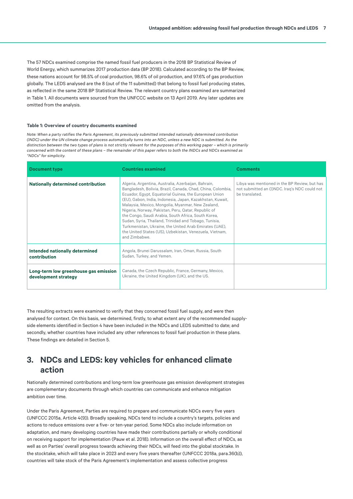<span id="page-6-0"></span>The 57 NDCs examined comprise the named fossil fuel producers in the 2018 BP Statistical Review of World Energy, which summarizes 2017 production data (BP 2018). Calculated according to the BP Review, these nations account for 98.5% of coal production, 98.6% of oil production, and 97.6% of gas production globally. The LEDS analysed are the 8 (out of the 11 submitted) that belong to fossil fuel producing states, as reflected in the same 2018 BP Statistical Review. The relevant country plans examined are summarized in Table 1. All documents were sourced from the UNFCCC website on 13 April 2019. Any later updates are omitted from the analysis.

#### **Table 1: Overview of country documents examined**

*Note: When a party ratifies the Paris Agreement, its previously submitted intended nationally determined contribution (INDC) under the UN climate change process automatically turns into an NDC, unless a new NDC is submitted. As the distinction between the two types of plans is not strictly relevant for the purposes of this working paper – which is primarily concerned with the content of these plans – the remainder of this paper refers to both the INDCs and NDCs examined as "NDCs" for simplicity.*

| <b>Document type</b>                                          | <b>Countries examined</b>                                                                                                                                                                                                                                                                                                                                                                                                                                                                                                                                                                                  | <b>Comments</b>                                                                                                  |  |
|---------------------------------------------------------------|------------------------------------------------------------------------------------------------------------------------------------------------------------------------------------------------------------------------------------------------------------------------------------------------------------------------------------------------------------------------------------------------------------------------------------------------------------------------------------------------------------------------------------------------------------------------------------------------------------|------------------------------------------------------------------------------------------------------------------|--|
| <b>Nationally determined contribution</b>                     | Algeria, Argentina, Australia, Azerbaijan, Bahrain,<br>Bangladesh, Bolivia, Brazil, Canada, Chad, China, Colombia,<br>Ecuador, Egypt, Equatorial Guinea, the European Union<br>(EU), Gabon, India, Indonesia, Japan, Kazakhstan, Kuwait,<br>Malaysia, Mexico, Mongolia, Myanmar, New Zealand,<br>Nigeria, Norway, Pakistan, Peru, Qatar, Republic of<br>the Congo, Saudi Arabia, South Africa, South Korea,<br>Sudan, Syria, Thailand, Trinidad and Tobago, Tunisia,<br>Turkmenistan, Ukraine, the United Arab Emirates (UAE),<br>the United States (US), Uzbekistan, Venezuela, Vietnam,<br>and Zimbabwe. | Libya was mentioned in the BP Review, but has<br>not submitted an (I)NDC. Iraq's NDC could not<br>be translated. |  |
| Intended nationally determined<br>contribution                | Angola, Brunei Darussalam, Iran, Oman, Russia, South<br>Sudan, Turkey, and Yemen.                                                                                                                                                                                                                                                                                                                                                                                                                                                                                                                          |                                                                                                                  |  |
| Long-term low greenhouse gas emission<br>development strategy | Canada, the Czech Republic, France, Germany, Mexico,<br>Ukraine, the United Kingdom (UK), and the US.                                                                                                                                                                                                                                                                                                                                                                                                                                                                                                      |                                                                                                                  |  |

The resulting extracts were examined to verify that they concerned fossil fuel supply, and were then analysed for context. On this basis, we determined, firstly, to what extent any of the recommended supplyside elements identified in Section 4 have been included in the NDCs and LEDS submitted to date; and secondly, whether countries have included any other references to fossil fuel production in these plans. These findings are detailed in Section 5.

# **3. NDCs and LEDS: key vehicles for enhanced climate action**

Nationally determined contributions and long-term low greenhouse gas emission development strategies are complementary documents through which countries can communicate and enhance mitigation ambition over time.

Under the Paris Agreement, Parties are required to prepare and communicate NDCs every five years (UNFCCC 2015a, Article 4(9)). Broadly speaking, NDCs tend to include a country's targets, policies and actions to reduce emissions over a five- or ten-year period. Some NDCs also include information on adaptation, and many developing countries have made their contributions partially or wholly conditional on receiving support for implementation (Pauw et al. 2018). Information on the overall effect of NDCs, as well as on Parties' overall progress towards achieving their NDCs, will feed into the global stocktake. In the stocktake, which will take place in 2023 and every five years thereafter (UNFCCC 2018a, para.36(b)), countries will take stock of the Paris Agreement's implementation and assess collective progress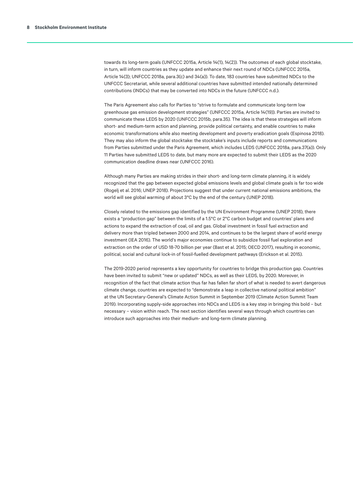towards its long-term goals (UNFCCC 2015a, Article 14(1), 14(2)). The outcomes of each global stocktake, in turn, will inform countries as they update and enhance their next round of NDCs (UNFCCC 2015a, Article 14(3); UNFCCC 2018a, para.3(c) and 34(a)). To date, 183 countries have submitted NDCs to the UNFCCC Secretariat, while several additional countries have submitted intended nationally determined contributions (INDCs) that may be converted into NDCs in the future (UNFCCC n.d.).

The Paris Agreement also calls for Parties to "strive to formulate and communicate long-term low greenhouse gas emission development strategies" (UNFCCC 2015a, Article 14(19)). Parties are invited to communicate these LEDS by 2020 (UNFCCC 2015b, para.35). The idea is that these strategies will inform short- and medium-term action and planning, provide political certainty, and enable countries to make economic transformations while also meeting development and poverty eradication goals (Espinosa 2018). They may also inform the global stocktake: the stocktake's inputs include reports and communications from Parties submitted under the Paris Agreement, which includes LEDS (UNFCCC 2018a, para.37(a)). Only 11 Parties have submitted LEDS to date, but many more are expected to submit their LEDS as the 2020 communication deadline draws near (UNFCCC 2016).

Although many Parties are making strides in their short- and long-term climate planning, it is widely recognized that the gap between expected global emissions levels and global climate goals is far too wide (Rogelj et al. 2016; UNEP 2018). Projections suggest that under current national emissions ambitions, the world will see global warming of about 3°C by the end of the century (UNEP 2018).

Closely related to the emissions gap identified by the UN Environment Programme (UNEP 2018), there exists a "production gap" between the limits of a 1.5°C or 2°C carbon budget and countries' plans and actions to expand the extraction of coal, oil and gas. Global investment in fossil fuel extraction and delivery more than tripled between 2000 and 2014, and continues to be the largest share of world energy investment (IEA 2016). The world's major economies continue to subsidize fossil fuel exploration and extraction on the order of USD 18-70 billion per year (Bast et al. 2015; OECD 2017), resulting in economic, political, social and cultural lock-in of fossil-fuelled development pathways (Erickson et al. 2015).

The 2019-2020 period represents a key opportunity for countries to bridge this production gap. Countries have been invited to submit "new or updated" NDCs, as well as their LEDS, by 2020. Moreover, in recognition of the fact that climate action thus far has fallen far short of what is needed to avert dangerous climate change, countries are expected to "demonstrate a leap in collective national political ambition" at the UN Secretary-General's Climate Action Summit in September 2019 (Climate Action Summit Team 2019). Incorporating supply-side approaches into NDCs and LEDS is a key step in bringing this bold – but necessary – vision within reach. The next section identifies several ways through which countries can introduce such approaches into their medium- and long-term climate planning.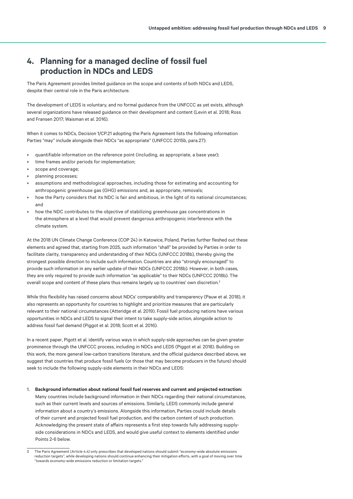# <span id="page-8-0"></span>**4. Planning for a managed decline of fossil fuel production in NDCs and LEDS**

The Paris Agreement provides limited guidance on the scope and contents of both NDCs and LEDS, despite their central role in the Paris architecture.

The development of LEDS is voluntary, and no formal guidance from the UNFCCC as yet exists, although several organizations have released guidance on their development and content (Levin et al. 2018; Ross and Fransen 2017; Waisman et al. 2016).

When it comes to NDCs, Decision 1/CP.21 adopting the Paris Agreement lists the following information Parties "may" include alongside their NDCs "as appropriate" (UNFCCC 2015b, para.27):

- **•** quantifiable information on the reference point (including, as appropriate, a base year);
- **•** time frames and/or periods for implementation;
- **•** scope and coverage;
- **•** planning processes;
- **•** assumptions and methodological approaches, including those for estimating and accounting for anthropogenic greenhouse gas (GHG) emissions and, as appropriate, removals;
- **•** how the Party considers that its NDC is fair and ambitious, in the light of its national circumstances; and
- **•** how the NDC contributes to the objective of stabilizing greenhouse gas concentrations in the atmosphere at a level that would prevent dangerous anthropogenic interference with the climate system.

At the 2018 UN Climate Change Conference (COP 24) in Katowice, Poland, Parties further fleshed out these elements and agreed that, starting from 2025, such information "shall" be provided by Parties in order to facilitate clarity, transparency and understanding of their NDCs (UNFCCC 2018b), thereby giving the strongest possible direction to include such information. Countries are also "strongly encouraged" to provide such information in any earlier update of their NDCs (UNFCCC 2018b). However, in both cases, they are only required to provide such information "as applicable" to their NDCs (UNFCCC 2018b). The overall scope and content of these plans thus remains largely up to countries' own discretion.<sup>3</sup>

While this flexibility has raised concerns about NDCs' comparability and transparency (Pauw et al. 2018), it also represents an opportunity for countries to highlight and prioritize measures that are particularly relevant to their national circumstances (Atteridge et al. 2019). Fossil fuel producing nations have various opportunities in NDCs and LEDS to signal their intent to take supply-side action, alongside action to address fossil fuel demand (Piggot et al. 2018; Scott et al. 2016).

In a recent paper, Pigott et al. identify various ways in which supply-side approaches can be given greater prominence through the UNFCCC process, including in NDCs and LEDS (Piggot et al. 2018). Building on this work, the more general low-carbon transitions literature, and the official guidance described above, we suggest that countries that produce fossil fuels (or those that may become producers in the future) should seek to include the following supply-side elements in their NDCs and LEDS:

**1. Background information about national fossil fuel reserves and current and projected extraction:** Many countries include background information in their NDCs regarding their national circumstances, such as their current levels and sources of emissions. Similarly, LEDS commonly include general information about a country's emissions. Alongside this information, Parties could include details of their current and projected fossil fuel production, and the carbon content of such production. Acknowledging the present state of affairs represents a first step towards fully addressing supplyside considerations in NDCs and LEDS, and would give useful context to elements identified under Points 2-6 below.

The Paris Agreement (Article 4.4) only prescribes that developed nations should submit "economy-wide absolute emissions reduction targets", while developing nations should continue enhancing their mitigation efforts, with a goal of moving over time "towards economy-wide emissions reduction or limitation targets."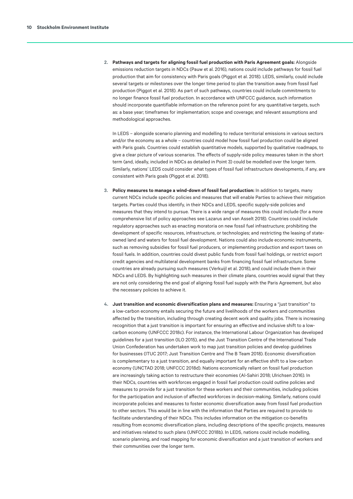**2. Pathways and targets for aligning fossil fuel production with Paris Agreement goals:** Alongside emissions reduction targets in NDCs (Pauw et al. 2016), nations could include pathways for fossil fuel production that aim for consistency with Paris goals (Piggot et al. 2018). LEDS, similarly, could include several targets or milestones over the longer time period to plan the transition away from fossil fuel production (Piggot et al. 2018). As part of such pathways, countries could include commitments to no longer finance fossil fuel production. In accordance with UNFCCC guidance, such information should incorporate quantifiable information on the reference point for any quantitative targets, such as: a base year; timeframes for implementation; scope and coverage; and relevant assumptions and methodological approaches.

In LEDS – alongside scenario planning and modelling to reduce territorial emissions in various sectors and/or the economy as a whole – countries could model how fossil fuel production could be aligned with Paris goals. Countries could establish quantitative models, supported by qualitative roadmaps, to give a clear picture of various scenarios. The effects of supply-side policy measures taken in the short term (and, ideally, included in NDCs as detailed in Point 3) could be modelled over the longer term. Similarly, nations' LEDS could consider what types of fossil fuel infrastructure developments, if any, are consistent with Paris goals (Piggot et al. 2018).

- **3. Policy measures to manage a wind-down of fossil fuel production:** In addition to targets, many current NDCs include specific policies and measures that will enable Parties to achieve their mitigation targets. Parties could thus identify, in their NDCs and LEDS, specific supply-side policies and measures that they intend to pursue. There is a wide range of measures this could include (for a more comprehensive list of policy approaches see Lazarus and van Asselt 2018). Countries could include regulatory approaches such as enacting moratoria on new fossil fuel infrastructure; prohibiting the development of specific resources, infrastructure, or technologies; and restricting the leasing of stateowned land and waters for fossil fuel development. Nations could also include economic instruments, such as removing subsidies for fossil fuel producers, or implementing production and export taxes on fossil fuels. In addition, countries could divest public funds from fossil fuel holdings, or restrict export credit agencies and multilateral development banks from financing fossil fuel infrastructure. Some countries are already pursuing such measures (Verkuijl et al. 2018), and could include them in their NDCs and LEDS. By highlighting such measures in their climate plans, countries would signal that they are not only considering the end goal of aligning fossil fuel supply with the Paris Agreement, but also the necessary policies to achieve it.
- **4. Just transition and economic diversification plans and measures:** Ensuring a "just transition" to a low-carbon economy entails securing the future and livelihoods of the workers and communities affected by the transition, including through creating decent work and quality jobs. There is increasing recognition that a just transition is important for ensuring an effective and inclusive shift to a lowcarbon economy (UNFCCC 2018c). For instance, the International Labour Organization has developed guidelines for a just transition (ILO 2015), and the Just Transition Centre of the International Trade Union Confederation has undertaken work to map just transition policies and develop guidelines for businesses (ITUC 2017; Just Transition Centre and The B Team 2018). Economic diversification is complementary to a just transition, and equally important for an effective shift to a low-carbon economy (UNCTAD 2018; UNFCCC 2018d). Nations economically reliant on fossil fuel production are increasingly taking action to restructure their economies (Al-Sahiri 2018; Ulrichsen 2016). In their NDCs, countries with workforces engaged in fossil fuel production could outline policies and measures to provide for a just transition for these workers and their communities, including policies for the participation and inclusion of affected workforces in decision-making. Similarly, nations could incorporate policies and measures to foster economic diversification away from fossil fuel production to other sectors. This would be in line with the information that Parties are required to provide to facilitate understanding of their NDCs. This includes information on the mitigation co-benefits resulting from economic diversification plans, including descriptions of the specific projects, measures and initiatives related to such plans (UNFCCC 2018b). In LEDS, nations could include modelling, scenario planning, and road mapping for economic diversification and a just transition of workers and their communities over the longer term.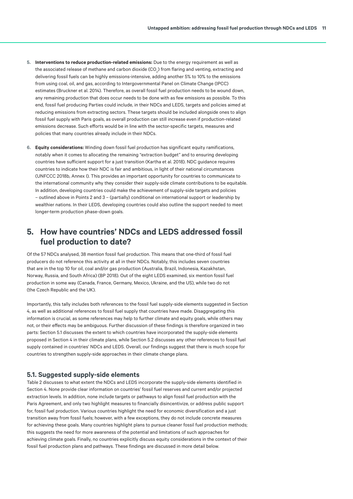- <span id="page-10-0"></span>**5. Interventions to reduce production-related emissions:** Due to the energy requirement as well as the associated release of methane and carbon dioxide (CO $_{\textrm{\tiny{2}}}$ ) from flaring and venting, extracting and delivering fossil fuels can be highly emissions-intensive, adding another 5% to 10% to the emissions from using coal, oil, and gas, according to Intergovernmental Panel on Climate Change (IPCC) estimates (Bruckner et al. 2014). Therefore, as overall fossil fuel production needs to be wound down, any remaining production that does occur needs to be done with as few emissions as possible. To this end, fossil fuel producing Parties could include, in their NDCs and LEDS, targets and policies aimed at reducing emissions from extracting sectors. These targets should be included alongside ones to align fossil fuel supply with Paris goals, as overall production can still increase even if production-related emissions decrease. Such efforts would be in line with the sector-specific targets, measures and policies that many countries already include in their NDCs.
- **6. Equity considerations:** Winding down fossil fuel production has significant equity ramifications, notably when it comes to allocating the remaining "extraction budget" and to ensuring developing countries have sufficient support for a just transition (Kartha et al. 2018). NDC guidance requires countries to indicate how their NDC is fair and ambitious, in light of their national circumstances (UNFCCC 2018b, Annex I). This provides an important opportunity for countries to communicate to the international community why they consider their supply-side climate contributions to be equitable. In addition, developing countries could make the achievement of supply-side targets and policies – outlined above in Points 2 and 3 – (partially) conditional on international support or leadership by wealthier nations. In their LEDS, developing countries could also outline the support needed to meet longer-term production phase-down goals.

# **5. How have countries' NDCs and LEDS addressed fossil fuel production to date?**

Of the 57 NDCs analysed, 38 mention fossil fuel production. This means that one-third of fossil fuel producers do not reference this activity at all in their NDCs. Notably, this includes seven countries that are in the top 10 for oil, coal and/or gas production (Australia, Brazil, Indonesia, Kazakhstan, Norway, Russia, and South Africa) (BP 2018). Out of the eight LEDS examined, six mention fossil fuel production in some way (Canada, France, Germany, Mexico, Ukraine, and the US), while two do not (the Czech Republic and the UK).

Importantly, this tally includes both references to the fossil fuel supply-side elements suggested in Section 4, as well as additional references to fossil fuel supply that countries have made. Disaggregating this information is crucial, as some references may help to further climate and equity goals, while others may not, or their effects may be ambiguous. Further discussion of these findings is therefore organized in two parts: Section 5.1 discusses the extent to which countries have incorporated the supply-side elements proposed in Section 4 in their climate plans, while Section 5.2 discusses any other references to fossil fuel supply contained in countries' NDCs and LEDS. Overall, our findings suggest that there is much scope for countries to strengthen supply-side approaches in their climate change plans.

## **5.1. Suggested supply-side elements**

Table 2 discusses to what extent the NDCs and LEDS incorporate the supply-side elements identified in Section 4. None provide clear information on countries' fossil fuel reserves and current and/or projected extraction levels. In addition, none include targets or pathways to align fossil fuel production with the Paris Agreement, and only two highlight measures to financially disincentivize, or address public support for, fossil fuel production. Various countries highlight the need for economic diversification and a just transition away from fossil fuels; however, with a few exceptions, they do not include concrete measures for achieving these goals. Many countries highlight plans to pursue cleaner fossil fuel production methods; this suggests the need for more awareness of the potential and limitations of such approaches for achieving climate goals. Finally, no countries explicitly discuss equity considerations in the context of their fossil fuel production plans and pathways. These findings are discussed in more detail below.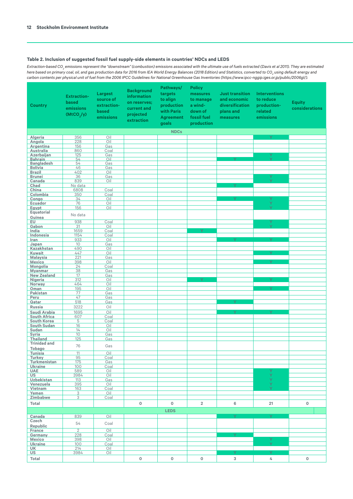## **Table 2. Inclusion of suggested fossil fuel supply-side elements in countries' NDCs and LEDS**

*Extraction-based CO2 emissions represent the "downstream" (combustion) emissions associated with the ultimate use of fuels extracted (Davis et al 2011). They are estimated*  here based on primary coal, oil, and gas production data for 2016 from IEA World Energy Balances (2018 Edition) and Statistics, converted to CO<sub>2</sub> using default energy and carbon contents per physical unit of fuel from the 2006 IPCC Guidelines for National Greenhouse Gas Inventories [\(https://www.ipcc-nggip.iges.or.jp/public/2006gl/\)](https://www.ipcc-nggip.iges.or.jp/public/2006gl/).

| <b>Country</b>                         | <b>Extraction-</b><br>based<br>emissions<br>(MtCO <sub>2</sub> /y) | Largest<br>source of<br>extraction-<br>based<br>emissions | <b>Background</b><br>information<br>on reserves;<br>current and<br>projected<br>extraction | Pathways/<br>targets<br>to align<br>production<br>with Paris<br><b>Agreement</b><br><b>goals</b> | <b>Policy</b><br>measures<br>to manage<br>a wind-<br>down of<br>fossil fuel<br>production | <b>Just transition</b><br>and economic<br>diversification<br>plans and<br>measures | <b>Interventions</b><br>to reduce<br>production-<br>related<br>emissions | <b>Equity</b><br>considerations |
|----------------------------------------|--------------------------------------------------------------------|-----------------------------------------------------------|--------------------------------------------------------------------------------------------|--------------------------------------------------------------------------------------------------|-------------------------------------------------------------------------------------------|------------------------------------------------------------------------------------|--------------------------------------------------------------------------|---------------------------------|
|                                        |                                                                    |                                                           |                                                                                            | <b>NDCs</b>                                                                                      |                                                                                           |                                                                                    |                                                                          |                                 |
| <b>Algeria</b>                         | 356                                                                | Oil                                                       |                                                                                            |                                                                                                  |                                                                                           |                                                                                    | v                                                                        |                                 |
| Angola                                 | 228                                                                | Oil                                                       |                                                                                            |                                                                                                  |                                                                                           |                                                                                    |                                                                          |                                 |
| Argentina<br>Australia                 | 156<br>860                                                         | Gas<br>Coal                                               |                                                                                            |                                                                                                  |                                                                                           |                                                                                    |                                                                          |                                 |
| Azerbaijan                             | 125                                                                | Gas                                                       |                                                                                            |                                                                                                  |                                                                                           |                                                                                    | γ                                                                        |                                 |
| <b>Bahrain</b>                         | 54                                                                 | Oil                                                       |                                                                                            |                                                                                                  |                                                                                           | $\mathbf{V}$                                                                       |                                                                          |                                 |
| <b>Bangladesh</b>                      | 54                                                                 | Gas                                                       |                                                                                            |                                                                                                  |                                                                                           |                                                                                    |                                                                          |                                 |
| <b>Bolivia</b>                         | 46                                                                 | Gas                                                       |                                                                                            |                                                                                                  |                                                                                           |                                                                                    |                                                                          |                                 |
| <b>Brazil</b><br><b>Brunei</b>         | 402                                                                | Oil                                                       |                                                                                            |                                                                                                  |                                                                                           |                                                                                    | γ                                                                        |                                 |
| Canada                                 | 36<br>839                                                          | Gas<br>Oil                                                |                                                                                            |                                                                                                  |                                                                                           |                                                                                    | v                                                                        |                                 |
| Chad                                   | No data                                                            |                                                           |                                                                                            |                                                                                                  |                                                                                           |                                                                                    |                                                                          |                                 |
| China                                  | 6808                                                               | Coal                                                      |                                                                                            |                                                                                                  |                                                                                           |                                                                                    |                                                                          |                                 |
| Colombia                               | 350                                                                | Coal                                                      |                                                                                            |                                                                                                  |                                                                                           |                                                                                    |                                                                          |                                 |
| Congo                                  | 34                                                                 | Oil                                                       |                                                                                            |                                                                                                  |                                                                                           |                                                                                    | ٧                                                                        |                                 |
| <b>Ecuador</b>                         | 76                                                                 | Oil                                                       |                                                                                            |                                                                                                  |                                                                                           |                                                                                    | Y                                                                        |                                 |
| Egypt<br>Equatorial                    | 156                                                                | Oil                                                       |                                                                                            |                                                                                                  |                                                                                           |                                                                                    |                                                                          |                                 |
| Guinea                                 | No data                                                            |                                                           |                                                                                            |                                                                                                  |                                                                                           |                                                                                    |                                                                          |                                 |
| EU                                     | 938                                                                | Coal                                                      |                                                                                            |                                                                                                  |                                                                                           |                                                                                    | γ                                                                        |                                 |
| Gabon                                  | 31                                                                 | Oil                                                       |                                                                                            |                                                                                                  |                                                                                           |                                                                                    | Ÿ                                                                        |                                 |
| India                                  | 1659                                                               | Coal                                                      |                                                                                            |                                                                                                  | Y                                                                                         |                                                                                    |                                                                          |                                 |
| Indonesia                              | 1154                                                               | Coal                                                      |                                                                                            |                                                                                                  |                                                                                           |                                                                                    |                                                                          |                                 |
| Iran                                   | 933                                                                | Oil                                                       |                                                                                            |                                                                                                  |                                                                                           | v                                                                                  | v                                                                        |                                 |
| Japan<br>Kazakhstan                    | 10<br>490                                                          | Gas<br>Oil                                                |                                                                                            |                                                                                                  |                                                                                           |                                                                                    |                                                                          |                                 |
| <b>Kuwait</b>                          | 447                                                                | Oil                                                       |                                                                                            |                                                                                                  |                                                                                           |                                                                                    | v                                                                        |                                 |
| <b>Malaysia</b>                        | 221                                                                | Gas                                                       |                                                                                            |                                                                                                  |                                                                                           |                                                                                    |                                                                          |                                 |
| Mexico                                 | 398                                                                | Oil                                                       |                                                                                            |                                                                                                  |                                                                                           |                                                                                    | v                                                                        |                                 |
| Mongolia                               | 24                                                                 | Coal                                                      |                                                                                            |                                                                                                  |                                                                                           |                                                                                    |                                                                          |                                 |
| <b>Myanmar</b><br><b>New Zealand</b>   | 38<br>17                                                           | Gas<br>Gas                                                |                                                                                            |                                                                                                  |                                                                                           |                                                                                    |                                                                          |                                 |
| <b>Nigeria</b>                         | 312                                                                | Oil                                                       |                                                                                            |                                                                                                  | Y                                                                                         |                                                                                    | Y                                                                        |                                 |
| Norway                                 | 464                                                                | Oil                                                       |                                                                                            |                                                                                                  |                                                                                           |                                                                                    |                                                                          |                                 |
| Oman                                   | 195                                                                | Oil                                                       |                                                                                            |                                                                                                  |                                                                                           |                                                                                    |                                                                          |                                 |
| Pakistan                               | 77                                                                 | Gas                                                       |                                                                                            |                                                                                                  |                                                                                           |                                                                                    |                                                                          |                                 |
| Peru                                   | 47                                                                 | Gas                                                       |                                                                                            |                                                                                                  |                                                                                           |                                                                                    |                                                                          |                                 |
| Qatar<br><b>Russia</b>                 | 518<br>3222                                                        | Gas<br>Oil                                                |                                                                                            |                                                                                                  |                                                                                           |                                                                                    |                                                                          |                                 |
| Saudi Arabia                           | 1695                                                               | Oil                                                       |                                                                                            |                                                                                                  |                                                                                           | Y                                                                                  | Y                                                                        |                                 |
| South Africa                           | 607                                                                | Coal                                                      |                                                                                            |                                                                                                  |                                                                                           |                                                                                    |                                                                          |                                 |
| South Korea                            | 5                                                                  | Coal                                                      |                                                                                            |                                                                                                  |                                                                                           |                                                                                    |                                                                          |                                 |
| <b>South Sudan</b>                     | 16                                                                 | Oil                                                       |                                                                                            |                                                                                                  |                                                                                           |                                                                                    |                                                                          |                                 |
| Sudan                                  | 14                                                                 | Oil                                                       |                                                                                            |                                                                                                  |                                                                                           |                                                                                    |                                                                          |                                 |
| Syria                                  | 10                                                                 | Gas                                                       |                                                                                            |                                                                                                  |                                                                                           |                                                                                    |                                                                          |                                 |
| <b>Thailand</b><br><b>Trinidad and</b> | 125                                                                | Gas                                                       |                                                                                            |                                                                                                  |                                                                                           |                                                                                    |                                                                          |                                 |
| <b>Tobago</b>                          | 76                                                                 | Gas                                                       |                                                                                            |                                                                                                  |                                                                                           |                                                                                    |                                                                          |                                 |
| <b>Tunisia</b>                         | 11                                                                 | Oil                                                       |                                                                                            |                                                                                                  |                                                                                           |                                                                                    |                                                                          |                                 |
| Turkev                                 | 95                                                                 | Coal                                                      |                                                                                            |                                                                                                  |                                                                                           |                                                                                    |                                                                          |                                 |
| Turkmenistan                           | 175                                                                | Gas                                                       |                                                                                            |                                                                                                  |                                                                                           |                                                                                    |                                                                          |                                 |
| <b>Ukraine</b>                         | 100                                                                | Coal                                                      |                                                                                            |                                                                                                  |                                                                                           |                                                                                    |                                                                          |                                 |
| <b>UAE</b>                             | 589                                                                | Oil                                                       |                                                                                            |                                                                                                  |                                                                                           |                                                                                    | Y<br>Ŷ                                                                   |                                 |
| US<br>Uzbekistan                       | 3984<br>113                                                        | Oil<br>Gas                                                |                                                                                            |                                                                                                  |                                                                                           |                                                                                    | Ŷ                                                                        |                                 |
| Venezuela                              | 395                                                                | Oil                                                       |                                                                                            |                                                                                                  |                                                                                           |                                                                                    | Ý                                                                        |                                 |
| Vietnam                                | 163                                                                | Coal                                                      |                                                                                            |                                                                                                  |                                                                                           |                                                                                    | Ÿ                                                                        |                                 |
| Yemen                                  | 3                                                                  | Oil                                                       |                                                                                            |                                                                                                  |                                                                                           |                                                                                    |                                                                          |                                 |
| Zimbabwe                               | 3                                                                  | Coal                                                      |                                                                                            |                                                                                                  |                                                                                           |                                                                                    |                                                                          |                                 |
| Total                                  |                                                                    |                                                           | 0                                                                                          | $\mathsf{o}\,$                                                                                   | $\overline{2}$                                                                            | 6                                                                                  | 21                                                                       | $\mathsf{o}\,$                  |
|                                        |                                                                    |                                                           |                                                                                            | <b>LEDS</b>                                                                                      |                                                                                           |                                                                                    |                                                                          |                                 |
| Canada                                 | 839                                                                | Oil                                                       |                                                                                            |                                                                                                  |                                                                                           | Ÿ                                                                                  | Y.                                                                       |                                 |
| Czech                                  | 54                                                                 | Coal                                                      |                                                                                            |                                                                                                  |                                                                                           |                                                                                    |                                                                          |                                 |
| Republic<br>France                     | $\overline{2}$                                                     | Oil                                                       |                                                                                            |                                                                                                  |                                                                                           |                                                                                    |                                                                          |                                 |
| Germany                                | 228                                                                | Coal                                                      |                                                                                            |                                                                                                  |                                                                                           | Y.                                                                                 |                                                                          |                                 |
| Mexico                                 | 398                                                                | Oil                                                       |                                                                                            |                                                                                                  |                                                                                           |                                                                                    | Y                                                                        |                                 |
| <b>Ukraine</b>                         | 100                                                                | Coal                                                      |                                                                                            |                                                                                                  |                                                                                           |                                                                                    | Ÿ                                                                        |                                 |
| UK                                     | 214                                                                | Oil                                                       |                                                                                            |                                                                                                  |                                                                                           |                                                                                    |                                                                          |                                 |
| <b>US</b>                              | 3984                                                               | Oil                                                       |                                                                                            |                                                                                                  |                                                                                           | v                                                                                  | v.                                                                       |                                 |
| Total                                  |                                                                    |                                                           | 0                                                                                          | $\mathsf{o}\,$                                                                                   | $\mathsf{o}\,$                                                                            | 3                                                                                  | 4                                                                        | $\mathsf{o}\xspace$             |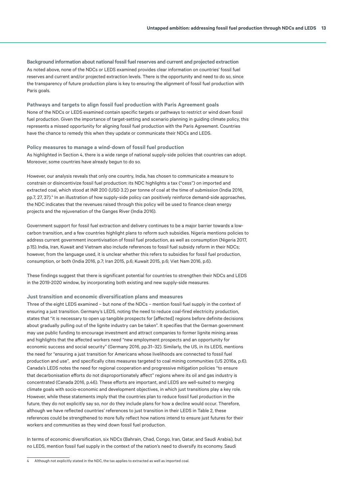**Background information about national fossil fuel reserves and current and projected extraction**  As noted above, none of the NDCs or LEDS examined provides clear information on countries' fossil fuel reserves and current and/or projected extraction levels. There is the opportunity and need to do so, since the transparency of future production plans is key to ensuring the alignment of fossil fuel production with Paris goals.

**Pathways and targets to align fossil fuel production with Paris Agreement goals** None of the NDCs or LEDS examined contain specific targets or pathways to restrict or wind down fossil fuel production. Given the importance of target-setting and scenario planning in guiding climate policy, this represents a missed opportunity for aligning fossil fuel production with the Paris Agreement. Countries have the chance to remedy this when they update or communicate their NDCs and LEDS.

**Policy measures to manage a wind-down of fossil fuel production** As highlighted in Section 4, there is a wide range of national supply-side policies that countries can adopt. Moreover, some countries have already begun to do so.

However, our analysis reveals that only one country, India, has chosen to communicate a measure to constrain or disincentivize fossil fuel production: its NDC highlights a tax ("cess") on imported and extracted coal, which stood at INR 200 (USD 3.2) per tonne of coal at the time of submission (India 2016, pp.7, 27, 37).<sup>4</sup> In an illustration of how supply-side policy can positively reinforce demand-side approaches, the NDC indicates that the revenues raised through this policy will be used to finance clean energy projects and the rejuvenation of the Ganges River (India 2016).

Government support for fossil fuel extraction and delivery continues to be a major barrier towards a lowcarbon transition, and a few countries highlight plans to reform such subsidies. Nigeria mentions policies to address current government incentivisation of fossil fuel production, as well as consumption (Nigeria 2017, p.15). India, Iran, Kuwait and Vietnam also include references to fossil fuel subsidy reform in their NDCs; however, from the language used, it is unclear whether this refers to subsidies for fossil fuel production, consumption, or both (India 2016, p.7; Iran 2015, p.6; Kuwait 2015, p.6; Viet Nam 2016, p.6).

These findings suggest that there is significant potential for countries to strengthen their NDCs and LEDS in the 2019-2020 window, by incorporating both existing and new supply-side measures.

#### **Just transition and economic diversification plans and measures**

Three of the eight LEDS examined – but none of the NDCs – mention fossil fuel supply in the context of ensuring a just transition. Germany's LEDS, noting the need to reduce coal-fired electricity production, states that "it is necessary to open up tangible prospects for [affected] regions before definite decisions about gradually pulling out of the lignite industry can be taken". It specifies that the German government may use public funding to encourage investment and attract companies to former lignite mining areas and highlights that the affected workers need "new employment prospects and an opportunity for economic success and social security" (Germany 2016, pp.31–32). Similarly, the US, in its LEDS, mentions the need for "ensuring a just transition for Americans whose livelihoods are connected to fossil fuel production and use", and specifically cites measures targeted to coal mining communities (US 2016a, p.6). Canada's LEDS notes the need for regional cooperation and progressive mitigation policies "to ensure that decarbonisation efforts do not disproportionately affect" regions where its oil and gas industry is concentrated (Canada 2016, p.46). These efforts are important, and LEDS are well-suited to merging climate goals with socio-economic and development objectives, in which just transitions play a key role. However, while these statements imply that the countries plan to reduce fossil fuel production in the future, they do not explicitly say so, nor do they include plans for how a decline would occur. Therefore, although we have reflected countries' references to just transition in their LEDS in Table 2, these references could be strengthened to more fully reflect how nations intend to ensure just futures for their workers and communities as they wind down fossil fuel production.

In terms of economic diversification, six NDCs (Bahrain, Chad, Congo, Iran, Qatar, and Saudi Arabia), but no LEDS, mention fossil fuel supply in the context of the nation's need to diversify its economy. Saudi

<sup>4</sup> Although not explicitly stated in the NDC, the tax applies to extracted as well as imported coal.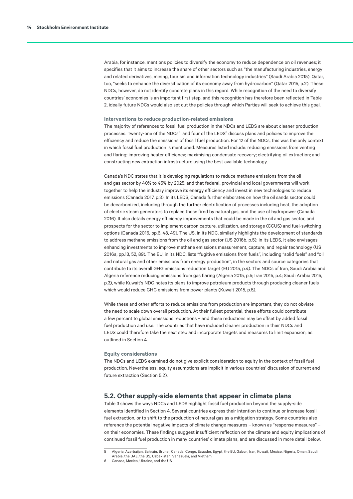<span id="page-13-0"></span>Arabia, for instance, mentions policies to diversify the economy to reduce dependence on oil revenues; it specifies that it aims to increase the share of other sectors such as "the manufacturing industries, energy and related derivatives, mining, tourism and information technology industries" (Saudi Arabia 2015). Qatar, too, "seeks to enhance the diversification of its economy away from hydrocarbon" (Qatar 2015, p.2). These NDCs, however, do not identify concrete plans in this regard. While recognition of the need to diversify countries' economies is an important first step, and this recognition has therefore been reflected in Table 2, ideally future NDCs would also set out the policies through which Parties will seek to achieve this goal.

#### **Interventions to reduce production-related emissions**

The majority of references to fossil fuel production in the NDCs and LEDS are about cleaner production processes. Twenty-one of the NDCs<sup>5</sup> and four of the LEDS<sup>6</sup> discuss plans and policies to improve the efficiency and reduce the emissions of fossil fuel production. For 12 of the NDCs, this was the only context in which fossil fuel production is mentioned. Measures listed include: reducing emissions from venting and flaring; improving heater efficiency; maximising condensate recovery; electrifying oil extraction; and constructing new extraction infrastructure using the best available technology.

Canada's NDC states that it is developing regulations to reduce methane emissions from the oil and gas sector by 40% to 45% by 2025, and that federal, provincial and local governments will work together to help the industry improve its energy efficiency and invest in new technologies to reduce emissions (Canada 2017, p.3). In its LEDS, Canada further elaborates on how the oil sands sector could be decarbonized, including through the further electrification of processes including heat, the adoption of electric steam generators to replace those fired by natural gas, and the use of hydropower (Canada 2016). It also details energy efficiency improvements that could be made in the oil and gas sector, and prospects for the sector to implement carbon capture, utilization, and storage (CCUS) and fuel-switching options (Canada 2016, pp.6, 48, 49). The US, in its NDC, similarly highlights the development of standards to address methane emissions from the oil and gas sector (US 2016b, p.5); in its LEDS, it also envisages enhancing investments to improve methane emissions measurement, capture, and repair technology (US 2016a, pp.13, 52, 89). The EU, in its NDC, lists "fugitive emissions from fuels", including "solid fuels" and "oil and natural gas and other emissions from energy production", in the sectors and source categories that contribute to its overall GHG emissions reduction target (EU 2015, p.4). The NDCs of Iran, Saudi Arabia and Algeria reference reducing emissions from gas flaring (Algeria 2015, p.5; Iran 2015, p.4; Saudi Arabia 2015, p.3), while Kuwait's NDC notes its plans to improve petroleum products through producing cleaner fuels which would reduce GHG emissions from power plants (Kuwait 2015, p.5).

While these and other efforts to reduce emissions from production are important, they do not obviate the need to scale down overall production. At their fullest potential, these efforts could contribute a few percent to global emissions reductions – and these reductions may be offset by added fossil fuel production and use. The countries that have included cleaner production in their NDCs and LEDS could therefore take the next step and incorporate targets and measures to limit expansion, as outlined in Section 4.

#### **Equity considerations**

The NDCs and LEDS examined do not give explicit consideration to equity in the context of fossil fuel production. Nevertheless, equity assumptions are implicit in various countries' discussion of current and future extraction (Section 5.2).

## **5.2. Other supply-side elements that appear in climate plans**

Table 3 shows the ways NDCs and LEDS highlight fossil fuel production beyond the supply-side elements identified in Section 4. Several countries express their intention to continue or increase fossil fuel extraction, or to shift to the production of natural gas as a mitigation strategy. Some countries also reference the potential negative impacts of climate change measures – known as "response measures" – on their economies. These findings suggest insufficient reflection on the climate and equity implications of continued fossil fuel production in many countries' climate plans, and are discussed in more detail below.

<sup>5</sup> Algeria, Azerbaijan, Bahrain, Brunei, Canada, Congo, Ecuador, Egypt, the EU, Gabon, Iran, Kuwait, Mexico, Nigeria, Oman, Saudi Arabia, the UAE, the US, Uzbekistan, Venezuela, and Vietnam

<sup>6</sup> Canada, Mexico, Ukraine, and the US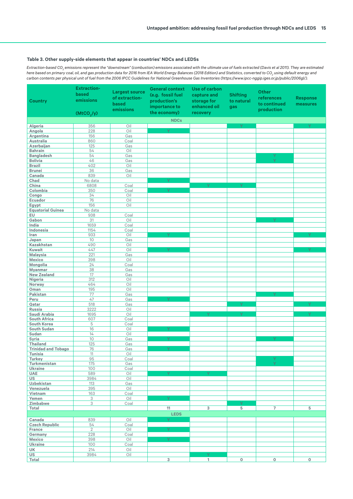### **Table 3. Other supply-side elements that appear in countries' NDCs and LEDSs**

*Extraction-based CO2 emissions represent the "downstream" (combustion) emissions associated with the ultimate use of fuels extracted (Davis et al 2011). They are estimated*  here based on primary coal, oil, and gas production data for 2016 from IEA World Energy Balances (2018 Edition) and Statistics, converted to CO<sub>2</sub> using default energy and *carbon contents per physical unit of fuel from the 2006 IPCC Guidelines for National Greenhouse Gas Inventories ([https://www.ipcc-nggip.iges.or.jp/public/2006gl/\)](https://www.ipcc-nggip.iges.or.jp/public/2006gl/).*

| <b>Country</b>             | <b>Extraction-</b><br><b>based</b><br>emissions<br>(MtCO, /y) | <b>Largest source</b><br>of extraction-<br><b>based</b><br>emissions | <b>General context</b><br>(e.g. fossil fuel<br>production's<br>importance to<br>the economy) | Use of carbon<br>capture and<br>storage for<br>enhanced oil<br>recovery | <b>Shifting</b><br>to natural<br>gas | <b>Other</b><br>references<br>to continued<br>production | <b>Response</b><br>measures |
|----------------------------|---------------------------------------------------------------|----------------------------------------------------------------------|----------------------------------------------------------------------------------------------|-------------------------------------------------------------------------|--------------------------------------|----------------------------------------------------------|-----------------------------|
|                            |                                                               |                                                                      | <b>NDCs</b>                                                                                  |                                                                         |                                      |                                                          |                             |
| Algeria                    | 356                                                           | Oil                                                                  |                                                                                              |                                                                         | Y                                    |                                                          | Y                           |
| Angola                     | 228                                                           | Oil                                                                  | Y                                                                                            |                                                                         |                                      |                                                          |                             |
| Argentina                  | 156                                                           | Gas                                                                  |                                                                                              |                                                                         |                                      |                                                          |                             |
| Australia                  | 860                                                           | Coal                                                                 |                                                                                              |                                                                         |                                      |                                                          |                             |
| Azerbaijan                 | 125                                                           | Gas                                                                  |                                                                                              |                                                                         |                                      |                                                          |                             |
| <b>Bahrain</b>             | 54                                                            | Oil                                                                  |                                                                                              |                                                                         |                                      |                                                          |                             |
| <b>Bangladesh</b>          | 54                                                            | Gas                                                                  |                                                                                              |                                                                         |                                      | Υ                                                        |                             |
| <b>Bolivia</b>             | 46                                                            | Gas                                                                  |                                                                                              |                                                                         |                                      | Ÿ                                                        |                             |
| <b>Brazil</b>              | 402                                                           | Oil                                                                  |                                                                                              |                                                                         |                                      |                                                          |                             |
| <b>Brunei</b>              | 36                                                            | Gas                                                                  |                                                                                              |                                                                         |                                      |                                                          |                             |
| Canada                     | 839                                                           | Oil                                                                  |                                                                                              |                                                                         |                                      |                                                          |                             |
| Chad                       | No data                                                       |                                                                      | v                                                                                            |                                                                         |                                      |                                                          |                             |
| China                      | 6808                                                          | Coal                                                                 |                                                                                              | Y                                                                       | v                                    |                                                          |                             |
| Colombia                   | 350                                                           | Coal                                                                 | v                                                                                            |                                                                         |                                      |                                                          |                             |
| Congo                      | 34                                                            | Oil                                                                  |                                                                                              |                                                                         |                                      |                                                          |                             |
| Ecuador<br>Egypt           | 76<br>156                                                     | Oil<br>Oil                                                           |                                                                                              |                                                                         |                                      |                                                          |                             |
| <b>Equatorial Guinea</b>   | No data                                                       |                                                                      |                                                                                              |                                                                         |                                      |                                                          |                             |
| EU                         | 938                                                           | Coal                                                                 |                                                                                              |                                                                         |                                      |                                                          |                             |
| Gabon                      | 31                                                            | Oil                                                                  |                                                                                              |                                                                         |                                      | v                                                        |                             |
| India                      | 1659                                                          | Coal                                                                 |                                                                                              |                                                                         |                                      |                                                          |                             |
| Indonesia                  | 1154                                                          | Coal                                                                 |                                                                                              |                                                                         |                                      |                                                          |                             |
| Iran                       | 933                                                           | Oil                                                                  | v                                                                                            |                                                                         |                                      |                                                          | v                           |
| Japan                      | 10                                                            | Gas                                                                  |                                                                                              |                                                                         |                                      |                                                          |                             |
| Kazakhstan                 | 490                                                           | Oil                                                                  |                                                                                              |                                                                         |                                      |                                                          |                             |
| <b>Kuwait</b>              | 447                                                           | Oil                                                                  | Y                                                                                            |                                                                         |                                      |                                                          | Y                           |
| Malaysia                   | 221                                                           | Gas                                                                  |                                                                                              |                                                                         |                                      |                                                          |                             |
| Mexico                     | 398                                                           | Oil                                                                  |                                                                                              |                                                                         |                                      |                                                          |                             |
| Mongolia                   | 24                                                            | Coal                                                                 |                                                                                              |                                                                         |                                      |                                                          |                             |
| <b>Myanmar</b>             | 38                                                            | Gas                                                                  |                                                                                              |                                                                         |                                      |                                                          |                             |
| <b>New Zealand</b>         | 17                                                            | Gas                                                                  |                                                                                              |                                                                         |                                      |                                                          |                             |
| Nigeria                    | 312                                                           | Oil                                                                  |                                                                                              |                                                                         |                                      |                                                          |                             |
| Norway                     | 464                                                           | Oil                                                                  |                                                                                              |                                                                         |                                      |                                                          |                             |
| Oman                       | 195                                                           | Oil                                                                  |                                                                                              |                                                                         |                                      |                                                          |                             |
| Pakistan                   | 77                                                            | Gas                                                                  |                                                                                              |                                                                         |                                      | V.                                                       |                             |
| Peru                       | 47                                                            | Gas                                                                  | Y                                                                                            |                                                                         |                                      |                                                          |                             |
| Qatar<br><b>Russia</b>     | 518<br>3222                                                   | Gas                                                                  |                                                                                              |                                                                         | Y                                    |                                                          | Y                           |
| Saudi Arabia               | 1695                                                          | Oil<br>Oil                                                           |                                                                                              | v                                                                       |                                      |                                                          |                             |
| <b>South Africa</b>        | 607                                                           | Coal                                                                 |                                                                                              |                                                                         |                                      |                                                          |                             |
| South Korea                | 5                                                             | Coal                                                                 |                                                                                              |                                                                         |                                      |                                                          |                             |
| <b>South Sudan</b>         | 16                                                            | Oil                                                                  | ٧                                                                                            |                                                                         |                                      |                                                          |                             |
| Sudan                      | 14                                                            | Oil                                                                  |                                                                                              |                                                                         |                                      |                                                          |                             |
| Syria                      | 10                                                            | Gas                                                                  | v                                                                                            |                                                                         |                                      | Y                                                        |                             |
| <b>Thailand</b>            | 125                                                           | Gas                                                                  |                                                                                              |                                                                         |                                      |                                                          |                             |
| <b>Trinidad and Tobago</b> | 76                                                            | Gas                                                                  |                                                                                              |                                                                         |                                      |                                                          |                             |
| Tunisia                    | 11                                                            | Oil                                                                  |                                                                                              |                                                                         |                                      |                                                          |                             |
| Turkey                     | 95                                                            | Coal                                                                 |                                                                                              |                                                                         |                                      | Υ                                                        |                             |
| Turkmenistan               | 175                                                           | Gas                                                                  |                                                                                              |                                                                         |                                      | Y.                                                       |                             |
| <b>Ukraine</b>             | 100                                                           | Coal                                                                 |                                                                                              |                                                                         |                                      |                                                          |                             |
| <b>UAE</b>                 | 589                                                           | Oil                                                                  | Y                                                                                            | Y                                                                       |                                      |                                                          |                             |
| <b>US</b>                  | 3984                                                          | Oil                                                                  |                                                                                              |                                                                         |                                      |                                                          |                             |
| Uzbekistan                 | 113                                                           | Gas                                                                  |                                                                                              |                                                                         |                                      |                                                          |                             |
| Venezuela                  | 395                                                           | Oil                                                                  |                                                                                              |                                                                         |                                      |                                                          |                             |
| Vietnam                    | 163                                                           | Coal                                                                 |                                                                                              |                                                                         |                                      |                                                          |                             |
| Yemen<br>Zimbabwe          | 3                                                             | Oil                                                                  | Y.                                                                                           |                                                                         | Y                                    |                                                          |                             |
| Total                      | 3                                                             | Coal                                                                 | 11                                                                                           | 3                                                                       | 5                                    | $\overline{7}$                                           | 5                           |
|                            |                                                               |                                                                      | <b>LEDS</b>                                                                                  |                                                                         |                                      |                                                          |                             |
|                            |                                                               |                                                                      |                                                                                              |                                                                         |                                      |                                                          |                             |
| Canada                     | 839                                                           | Oil                                                                  | Y.                                                                                           |                                                                         |                                      |                                                          |                             |
| <b>Czech Republic</b>      | 54                                                            | Coal                                                                 | Y.                                                                                           |                                                                         |                                      |                                                          |                             |
| France                     | $\overline{2}$                                                | Oil                                                                  |                                                                                              |                                                                         |                                      |                                                          |                             |
| Germany<br>Mexico          | 228<br>398                                                    | Coal<br>Oil                                                          | Y                                                                                            |                                                                         |                                      |                                                          |                             |
| Ukraine                    | 100                                                           | Coal                                                                 |                                                                                              |                                                                         |                                      |                                                          |                             |
| UK                         | 214                                                           | Oil                                                                  |                                                                                              |                                                                         |                                      |                                                          |                             |
| <b>US</b>                  | 3984                                                          | Oil                                                                  |                                                                                              | Y                                                                       |                                      |                                                          |                             |
| Total                      |                                                               |                                                                      | 3                                                                                            | 1                                                                       | $\mathsf{o}$                         | 0                                                        | 0                           |
|                            |                                                               |                                                                      |                                                                                              |                                                                         |                                      |                                                          |                             |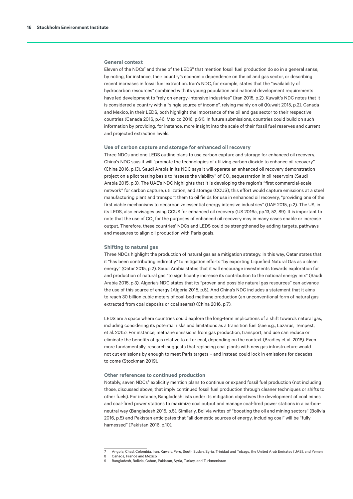#### **General context**

Eleven of the NDCs<sup>7</sup> and three of the LEDS<sup>8</sup> that mention fossil fuel production do so in a general sense, by noting, for instance, their country's economic dependence on the oil and gas sector, or describing recent increases in fossil fuel extraction. Iran's NDC, for example, states that the "availability of hydrocarbon resources" combined with its young population and national development requirements have led development to "rely on energy-intensive industries" (Iran 2015, p.2). Kuwait's NDC notes that it is considered a country with a "single source of income", relying mainly on oil (Kuwait 2015, p.2). Canada and Mexico, in their LEDS, both highlight the importance of the oil and gas sector to their respective countries (Canada 2016, p.46; Mexico 2016, p.61). In future submissions, countries could build on such information by providing, for instance, more insight into the scale of their fossil fuel reserves and current and projected extraction levels.

#### **Use of carbon capture and storage for enhanced oil recovery**

Three NDCs and one LEDS outline plans to use carbon capture and storage for enhanced oil recovery. China's NDC says it will "promote the technologies of utilizing carbon dioxide to enhance oil recovery" (China 2016, p.13). Saudi Arabia in its NDC says it will operate an enhanced oil recovery demonstration project on a pilot testing basis to "assess the viability" of CO<sub>2</sub> sequestration in oil reservoirs (Saudi Arabia 2015, p.3). The UAE's NDC highlights that it is developing the region's "first commercial-scale network" for carbon capture, utilization, and storage (CCUS); this effort would capture emissions at a steel manufacturing plant and transport them to oil fields for use in enhanced oil recovery, "providing one of the first viable mechanisms to decarbonize essential energy intensive industries" (UAE 2015, p.2). The US, in its LEDS, also envisages using CCUS for enhanced oil recovery (US 2016a, pp.13, 52, 89). It is important to note that the use of CO<sub>2</sub> for the purposes of enhanced oil recovery may in many cases enable or increase output. Therefore, these countries' NDCs and LEDS could be strengthened by adding targets, pathways and measures to align oil production with Paris goals.

#### **Shifting to natural gas**

Three NDCs highlight the production of natural gas as a mitigation strategy. In this way, Qatar states that it "has been contributing indirectly" to mitigation efforts "by exporting Liquefied Natural Gas as a clean energy" (Qatar 2015, p.2). Saudi Arabia states that it will encourage investments towards exploration for and production of natural gas "to significantly increase its contribution to the national energy mix" (Saudi Arabia 2015, p.3). Algeria's NDC states that its "proven and possible natural gas resources" can advance the use of this source of energy (Algeria 2015, p.5). And China's NDC includes a statement that it aims to reach 30 billion cubic meters of coal-bed methane production (an unconventional form of natural gas extracted from coal deposits or coal seams) (China 2016, p.7).

LEDS are a space where countries could explore the long-term implications of a shift towards natural gas, including considering its potential risks and limitations as a transition fuel (see e.g., Lazarus, Tempest, et al. 2015). For instance, methane emissions from gas production, transport, and use can reduce or eliminate the benefits of gas relative to oil or coal, depending on the context (Bradley et al. 2018). Even more fundamentally, research suggests that replacing coal plants with new gas infrastructure would not cut emissions by enough to meet Paris targets – and instead could lock in emissions for decades to come (Stockman 2019).

#### **Other references to continued production**

Notably, seven NDCs<sup>9</sup> explicitly mention plans to continue or expand fossil fuel production (not including those, discussed above, that imply continued fossil fuel production through cleaner techniques or shifts to other fuels). For instance, Bangladesh lists under its mitigation objectives the development of coal mines and coal-fired power stations to maximize coal output and manage coal-fired power stations in a carbonneutral way (Bangladesh 2015, p.5). Similarly, Bolivia writes of "boosting the oil and mining sectors" (Bolivia 2016, p.5) and Pakistan anticipates that "all domestic sources of energy, including coal" will be "fully harnessed" (Pakistan 2016, p.10).

<sup>7</sup> Angola, Chad, Colombia, Iran, Kuwait, Peru, South Sudan, Syria, Trinidad and Tobago, the United Arab Emirates (UAE), and Yemen

<sup>8</sup> Canada, France and Mexico

<sup>9</sup> Bangladesh, Bolivia, Gabon, Pakistan, Syria, Turkey, and Turkmenistan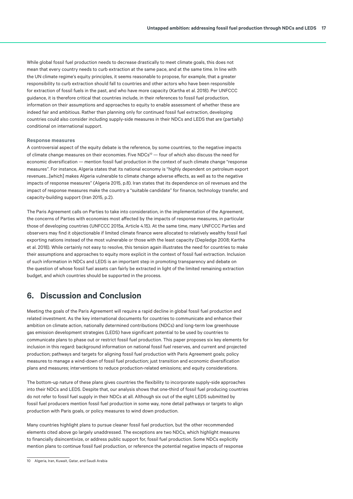<span id="page-16-0"></span>While global fossil fuel production needs to decrease drastically to meet climate goals, this does not mean that every country needs to curb extraction at the same pace, and at the same time. In line with the UN climate regime's equity principles, it seems reasonable to propose, for example, that a greater responsibility to curb extraction should fall to countries and other actors who have been responsible for extraction of fossil fuels in the past, and who have more capacity (Kartha et al. 2018). Per UNFCCC guidance, it is therefore critical that countries include, in their references to fossil fuel production, information on their assumptions and approaches to equity to enable assessment of whether these are indeed fair and ambitious. Rather than planning only for continued fossil fuel extraction, developing countries could also consider including supply-side measures in their NDCs and LEDS that are (partially) conditional on international support.

#### **Response measures**

A controversial aspect of the equity debate is the reference, by some countries, to the negative impacts of climate change measures on their economies. Five NDCs<sup>10</sup> — four of which also discuss the need for economic diversification — mention fossil fuel production in the context of such climate change "response measures". For instance, Algeria states that its national economy is "highly dependent on petroleum export revenues…[which] makes Algeria vulnerable to climate change adverse effects, as well as to the negative impacts of response measures" (Algeria 2015, p.8). Iran states that its dependence on oil revenues and the impact of response measures make the country a "suitable candidate" for finance, technology transfer, and capacity-building support (Iran 2015, p.2).

The Paris Agreement calls on Parties to take into consideration, in the implementation of the Agreement, the concerns of Parties with economies most affected by the impacts of response measures, in particular those of developing countries (UNFCCC 2015a, Article 4.15). At the same time, many UNFCCC Parties and observers may find it objectionable if limited climate finance were allocated to relatively wealthy fossil fuel exporting nations instead of the most vulnerable or those with the least capacity (Depledge 2008; Kartha et al. 2018). While certainly not easy to resolve, this tension again illustrates the need for countries to make their assumptions and approaches to equity more explicit in the context of fossil fuel extraction. Inclusion of such information in NDCs and LEDS is an important step in promoting transparency and debate on the question of whose fossil fuel assets can fairly be extracted in light of the limited remaining extraction budget, and which countries should be supported in the process.

# **6. Discussion and Conclusion**

Meeting the goals of the Paris Agreement will require a rapid decline in global fossil fuel production and related investment. As the key international documents for countries to communicate and enhance their ambition on climate action, nationally determined contributions (NDCs) and long-term low greenhouse gas emission development strategies (LEDS) have significant potential to be used by countries to communicate plans to phase out or restrict fossil fuel production. This paper proposes six key elements for inclusion in this regard: background information on national fossil fuel reserves, and current and projected production; pathways and targets for aligning fossil fuel production with Paris Agreement goals; policy measures to manage a wind-down of fossil fuel production; just transition and economic diversification plans and measures; interventions to reduce production-related emissions; and equity considerations.

The bottom-up nature of these plans gives countries the flexibility to incorporate supply-side approaches into their NDCs and LEDS. Despite that, our analysis shows that one-third of fossil fuel producing countries do not refer to fossil fuel supply in their NDCs at all. Although six out of the eight LEDS submitted by fossil fuel producers mention fossil fuel production in some way, none detail pathways or targets to align production with Paris goals, or policy measures to wind down production.

Many countries highlight plans to pursue cleaner fossil fuel production, but the other recommended elements cited above go largely unaddressed. The exceptions are two NDCs, which highlight measures to financially disincentivize, or address public support for, fossil fuel production. Some NDCs explicitly mention plans to continue fossil fuel production, or reference the potential negative impacts of response

<sup>10</sup> Algeria, Iran, Kuwait, Oatar, and Saudi Arabia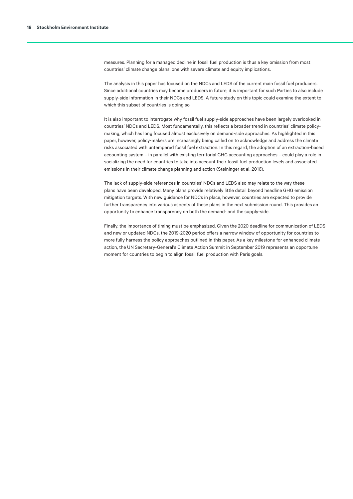measures. Planning for a managed decline in fossil fuel production is thus a key omission from most countries' climate change plans, one with severe climate and equity implications.

The analysis in this paper has focused on the NDCs and LEDS of the current main fossil fuel producers. Since additional countries may become producers in future, it is important for such Parties to also include supply-side information in their NDCs and LEDS. A future study on this topic could examine the extent to which this subset of countries is doing so.

It is also important to interrogate why fossil fuel supply-side approaches have been largely overlooked in countries' NDCs and LEDS. Most fundamentally, this reflects a broader trend in countries' climate policymaking, which has long focused almost exclusively on demand-side approaches. As highlighted in this paper, however, policy-makers are increasingly being called on to acknowledge and address the climate risks associated with untempered fossil fuel extraction. In this regard, the adoption of an extraction-based accounting system – in parallel with existing territorial GHG accounting approaches – could play a role in socializing the need for countries to take into account their fossil fuel production levels and associated emissions in their climate change planning and action (Steininger et al. 2016).

The lack of supply-side references in countries' NDCs and LEDS also may relate to the way these plans have been developed. Many plans provide relatively little detail beyond headline GHG emission mitigation targets. With new guidance for NDCs in place, however, countries are expected to provide further transparency into various aspects of these plans in the next submission round. This provides an opportunity to enhance transparency on both the demand- and the supply-side.

Finally, the importance of timing must be emphasized. Given the 2020 deadline for communication of LEDS and new or updated NDCs, the 2019-2020 period offers a narrow window of opportunity for countries to more fully harness the policy approaches outlined in this paper. As a key milestone for enhanced climate action, the UN Secretary-General's Climate Action Summit in September 2019 represents an opportune moment for countries to begin to align fossil fuel production with Paris goals.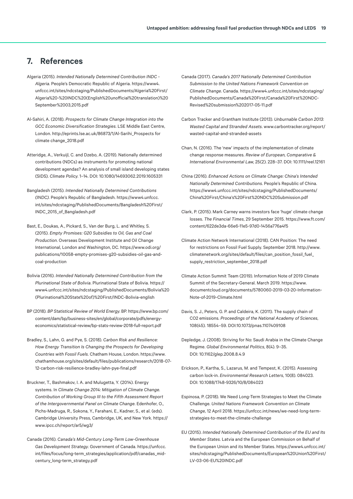# <span id="page-18-0"></span>**7. References**

- Algeria (2015). *Intended Nationally Determined Contribution INDC Algeria*. People's Democratic Republic of Algeria. [https://www4.](https://www4.unfccc.int/sites/ndcstaging/PublishedDocuments/Algeria%20First/Algeria%20-%20INDC%20(English%20unofficial%20translation)%20September%2003,2015.pdf) [unfccc.int/sites/ndcstaging/PublishedDocuments/Algeria%20First/](https://www4.unfccc.int/sites/ndcstaging/PublishedDocuments/Algeria%20First/Algeria%20-%20INDC%20(English%20unofficial%20translation)%20September%2003,2015.pdf) [Algeria%20-%20INDC%20\(English%20unofficial%20translation\)%20](https://www4.unfccc.int/sites/ndcstaging/PublishedDocuments/Algeria%20First/Algeria%20-%20INDC%20(English%20unofficial%20translation)%20September%2003,2015.pdf) [September%2003,2015.pdf](https://www4.unfccc.int/sites/ndcstaging/PublishedDocuments/Algeria%20First/Algeria%20-%20INDC%20(English%20unofficial%20translation)%20September%2003,2015.pdf)
- Al-Sahiri, A. (2018). *Prospects for Climate Change Integration into the GCC Economic Diversification Strategies*. LSE Middle East Centre, London. [http://eprints.lse.ac.uk/86873/1/Al-Sarihi\\_Prospects for](http://eprints.lse.ac.uk/86873/1/Al-Sarihi_Prospects for climate change_2018.pdf)  [climate change\\_2018.pdf](http://eprints.lse.ac.uk/86873/1/Al-Sarihi_Prospects for climate change_2018.pdf)
- Atteridge, A., Verkuijl, C. and Dzebo, A. (2019). Nationally determined contributions (NDCs) as instruments for promoting national development agendas? An analysis of small island developing states (SIDS). *Climate Policy*. 1–14. [DOI: 10.1080/14693062.2019.1605331](https://doi.org/10.1080/14693062.2019.1605331)
- Bangladesh (2015). *Intended Nationally Determined Contributions (INDC).* People's Republic of Bangladesh. [https://www4.unfccc.](https://www4.unfccc.int/sites/ndcstaging/PublishedDocuments/Bangladesh%20First/INDC_2015_of_Bangladesh.pdf) [int/sites/ndcstaging/PublishedDocuments/Bangladesh%20First/](https://www4.unfccc.int/sites/ndcstaging/PublishedDocuments/Bangladesh%20First/INDC_2015_of_Bangladesh.pdf) [INDC\\_2015\\_of\\_Bangladesh.pdf](https://www4.unfccc.int/sites/ndcstaging/PublishedDocuments/Bangladesh%20First/INDC_2015_of_Bangladesh.pdf)
- Bast, E., Doukas, A., Pickard, S., Van der Burg, L. and Whitley, S. (2015). *Empty Promises: G20 Subsidies to Oil, Gas and Coal Production*. Overseas Development Institute and Oil Change International, London and Washington, DC. [https://www.odi.org/](https://www.odi.org/publications/10058-empty-promises-g20-subsidies-oil-gas-and-coal-production) [publications/10058-empty-promises-g20-subsidies-oil-gas-and](https://www.odi.org/publications/10058-empty-promises-g20-subsidies-oil-gas-and-coal-production)[coal-production](https://www.odi.org/publications/10058-empty-promises-g20-subsidies-oil-gas-and-coal-production)
- Bolivia (2016). *Intended Nationally Determined Contribution from the Plurinational State of Bolivia*. Plurinational State of Bolivia. [https://](https://www4.unfccc.int/sites/ndcstaging/PublishedDocuments/Bolivia%20(Plurinational%20State%20of)%20First/INDC-Bolivia-english) [www4.unfccc.int/sites/ndcstaging/PublishedDocuments/Bolivia%20](https://www4.unfccc.int/sites/ndcstaging/PublishedDocuments/Bolivia%20(Plurinational%20State%20of)%20First/INDC-Bolivia-english) [\(Plurinational%20State%20of\)%20First/INDC-Bolivia-english](https://www4.unfccc.int/sites/ndcstaging/PublishedDocuments/Bolivia%20(Plurinational%20State%20of)%20First/INDC-Bolivia-english)
- BP (2018). *BP Statistical Review of World Energy*. BP. [https://www.bp.com/](https://www.bp.com/content/dam/bp/business-sites/en/global/corporate/pdfs/energy-economics/statistical-review/bp-stats-review-2018-full-report.pdf) [content/dam/bp/business-sites/en/global/corporate/pdfs/energy](https://www.bp.com/content/dam/bp/business-sites/en/global/corporate/pdfs/energy-economics/statistical-review/bp-stats-review-2018-full-report.pdf)[economics/statistical-review/bp-stats-review-2018-full-report.pdf](https://www.bp.com/content/dam/bp/business-sites/en/global/corporate/pdfs/energy-economics/statistical-review/bp-stats-review-2018-full-report.pdf)
- Bradley, S., Lahn, G. and Pye, S. (2018). *Carbon Risk and Resilience: How Energy Transition Is Changing the Prospects for Developing Countries with Fossil Fuels*. Chatham House, London. [https://www.](https://www.chathamhouse.org/sites/default/files/publications/research/2018-07-12-carbon-risk-resilience-bradley-lahn-pye-final.pdf) [chathamhouse.org/sites/default/files/publications/research/2018-07-](https://www.chathamhouse.org/sites/default/files/publications/research/2018-07-12-carbon-risk-resilience-bradley-lahn-pye-final.pdf) [12-carbon-risk-resilience-bradley-lahn-pye-final.pdf](https://www.chathamhouse.org/sites/default/files/publications/research/2018-07-12-carbon-risk-resilience-bradley-lahn-pye-final.pdf)
- Bruckner, T., Bashmakov, I. A. and Mulugetta, Y. (2014). Energy systems. In *Climate Change 2014: Mitigation of Climate Change. Contribution of Working Group III to the Fifth Assessment Report of the Intergovernmental Panel on Climate Change*. Edenhofer, O., Pichs-Madruga, R., Sokona, Y., Farahani, E., Kadner, S., et al. (eds). Cambridge University Press, Cambridge, UK, and New York. [https://](https://www.ipcc.ch/report/ar5/wg3/) [www.ipcc.ch/report/ar5/wg3/](https://www.ipcc.ch/report/ar5/wg3/)
- Canada (2016). *Canada's Mid-Century Long-Term Low-Greenhouse Gas Development Strategy*. Government of Canada. [https://unfccc.](https://unfccc.int/files/focus/long-term_strategies/application/pdf/canadas_mid-century_long-term_strategy.pdf) [int/files/focus/long-term\\_strategies/application/pdf/canadas\\_mid](https://unfccc.int/files/focus/long-term_strategies/application/pdf/canadas_mid-century_long-term_strategy.pdf)[century\\_long-term\\_strategy.pdf](https://unfccc.int/files/focus/long-term_strategies/application/pdf/canadas_mid-century_long-term_strategy.pdf)
- Canada (2017). *Canada's 2017 Nationally Determined Contribution Submission to the United Nations Framework Convention on Climate Change*. Canada. [https://www4.unfccc.int/sites/ndcstaging/](https://www4.unfccc.int/sites/ndcstaging/PublishedDocuments/Canada%20First/Canada%20First%20NDC-Revised%20submission%202017-05-11.pdf) [PublishedDocuments/Canada%20First/Canada%20First%20NDC-](https://www4.unfccc.int/sites/ndcstaging/PublishedDocuments/Canada%20First/Canada%20First%20NDC-Revised%20submission%202017-05-11.pdf)[Revised%20submission%202017-05-11.pdf](https://www4.unfccc.int/sites/ndcstaging/PublishedDocuments/Canada%20First/Canada%20First%20NDC-Revised%20submission%202017-05-11.pdf)
- Carbon Tracker and Grantham Institute (2013). *Unburnable Carbon 2013: Wasted Capital and Stranded Assets*. [www.carbontracker.org/report/](http://www.carbontracker.org/report/wasted-capital-and-stranded-assets) [wasted-capital-and-stranded-assets](http://www.carbontracker.org/report/wasted-capital-and-stranded-assets)
- Chan, N. (2016). The 'new' impacts of the implementation of climate change response measures. *Review of European, Comparative & International Environmental Law*, 25(2). 228–37. [DOI: 10.1111/reel.12161](https://doi.org/10.1111/reel.12161)
- China (2016). *Enhanced Actions on Climate Change: China's Intended Nationally Determined Contributions*. People's Republic of China. [https://www4.unfccc.int/sites/ndcstaging/PublishedDocuments/](https://www4.unfccc.int/sites/ndcstaging/PublishedDocuments/China%20First/China’s%20First%20NDC%20Submission.pdf) [China%20First/China's%20First%20NDC%20Submission.pdf](https://www4.unfccc.int/sites/ndcstaging/PublishedDocuments/China%20First/China’s%20First%20NDC%20Submission.pdf)
- Clark, P. (2015). Mark Carney warns investors face 'huge' climate change losses. *The Financial Times*, 29 September 2015. [https://www.ft.com/](https://www.ft.com/content/622de3da-66e6-11e5-97d0-1456a776a4f5) [content/622de3da-66e6-11e5-97d0-1456a776a4f5](https://www.ft.com/content/622de3da-66e6-11e5-97d0-1456a776a4f5)
- Climate Action Network International (2018). CAN Position: The need for restrictions on Fossil Fuel Supply. September 2018. [http://www.](http://www.climatenetwork.org/sites/default/files/can_position_fossil_fuel_supply_restriction_september_2018.pdf) [climatenetwork.org/sites/default/files/can\\_position\\_fossil\\_fuel\\_](http://www.climatenetwork.org/sites/default/files/can_position_fossil_fuel_supply_restriction_september_2018.pdf) [supply\\_restriction\\_september\\_2018.pdf](http://www.climatenetwork.org/sites/default/files/can_position_fossil_fuel_supply_restriction_september_2018.pdf)
- Climate Action Summit Team (2019). Information Note of 2019 Climate Summit of the Secretary-General. March 2019. [https://www.](https://www.documentcloud.org/documents/5780060-2019-03-20-Information-Note-of-2019-Climate.html) [documentcloud.org/documents/5780060-2019-03-20-Information-](https://www.documentcloud.org/documents/5780060-2019-03-20-Information-Note-of-2019-Climate.html)[Note-of-2019-Climate.html](https://www.documentcloud.org/documents/5780060-2019-03-20-Information-Note-of-2019-Climate.html)
- Davis, S. J., Peters, G. P. and Caldeira, K. (2011). The supply chain of CO2 emissions. *Proceedings of the National Academy of Sciences*, 108(45). 18554–59. [DOI:10.1073/pnas.1107409108](https://doi.org/10.1073/pnas.1107409108)
- Depledge, J. (2008). Striving for No: Saudi Arabia in the Climate Change Regime. *Global Environmental Politics*, 8(4). 9–35. [DOI: 10.1162/glep.2008.8.4.9](https://doi.org/10.1162/glep.2008.8.4.9)
- Erickson, P., Kartha, S., Lazarus, M. and Tempest, K. (2015). Assessing carbon lock-in. *Environmental Research Letters*, 10(8). 084023. [DOI: 10.1088/1748-9326/10/8/084023](https://doi.org/10.1088/1748-9326/10/8/084023)
- Espinosa, P. (2018). We Need Long-Term Strategies to Meet the Climate Challenge. *United Nations Framework Convention on Climate Change*, 12 April 2018. [https://unfccc.int/news/we-need-long-term](https://unfccc.int/news/we-need-long-term-strategies-to-meet-the-climate-challenge)[strategies-to-meet-the-climate-challenge](https://unfccc.int/news/we-need-long-term-strategies-to-meet-the-climate-challenge)
- EU (2015). *Intended Nationally Determined Contribution of the EU and Its Member States*. Latvia and the European Commission on Behalf of the European Union and its Member States. [https://www4.unfccc.int/](https://www4.unfccc.int/sites/ndcstaging/PublishedDocuments/European%20Union%20First/LV-03-06-EU%20INDC.pdf) [sites/ndcstaging/PublishedDocuments/European%20Union%20First/](https://www4.unfccc.int/sites/ndcstaging/PublishedDocuments/European%20Union%20First/LV-03-06-EU%20INDC.pdf) [LV-03-06-EU%20INDC.pdf](https://www4.unfccc.int/sites/ndcstaging/PublishedDocuments/European%20Union%20First/LV-03-06-EU%20INDC.pdf)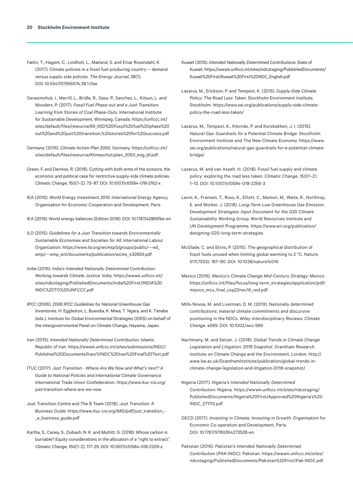Fæhn, T., Hagem, C., Lindholt, L., Mæland, S. and Einar Rosendahl, K. (2017). Climate policies in a fossil fuel producing country -- demand versus supply side policies. *The Energy Journal*, 38(1). [DOI: 10.5547/01956574.38.1.tfae](https://doi.org/10.5547/01956574.38.1.tfae)

Gerasimchuk, I., Merrill, L., Bridle, R., Gass, P., Sanchez, L., Kitsun, L. and Wooders, P. (2017). *Fossil Fuel Phase-out and a Just Transition: Learning from Stories of Coal Phase-Outs*. International Institute for Sustainable Development, Winnipeg, Canada. [https://unfccc.int/](https://unfccc.int/sites/default/files/resource/69_IISD%20Fossil%20fuel%20phase%20out%20and%20just%20transition,%20stories%20for%20success.pdf) [sites/default/files/resource/69\\_IISD%20Fossil%20fuel%20phase%20](https://unfccc.int/sites/default/files/resource/69_IISD%20Fossil%20fuel%20phase%20out%20and%20just%20transition,%20stories%20for%20success.pdf) [out%20and%20just%20transition,%20stories%20for%20success.pdf](https://unfccc.int/sites/default/files/resource/69_IISD%20Fossil%20fuel%20phase%20out%20and%20just%20transition,%20stories%20for%20success.pdf)

Germany (2016). *Climate Action Plan 2050*. Germany. [https://unfccc.int/](https://unfccc.int/sites/default/files/resource/Klimaschutzplan_2050_eng_bf.pdf) [sites/default/files/resource/Klimaschutzplan\\_2050\\_eng\\_bf.pdf](https://unfccc.int/sites/default/files/resource/Klimaschutzplan_2050_eng_bf.pdf)

Green, F. and Denniss, R. (2018). Cutting with both arms of the scissors: the economic and political case for restrictive supply-side climate policies. *Climatic Change*, 150(1–2). 73–87. [DOI: 10.1007/s10584-018-2162-x](https://doi.org/10.1007/s10584-018-2162-x)

IEA (2016). *World Energy Investment 2016*. International Energy Agency, Organisation for Economic Cooperation and Development, Paris

IEA (2019). World energy balances (Edition 2018). [DOI: 10.1787/42865fbe-en](https://doi.org/10.1787/42865fbe-en)

ILO (2015). *Guidelines for a Just Transition towards Environmentally Sustainable Economies and Societies for All*. International Labour Organization. [https://www.ilo.org/wcmsp5/groups/public/---ed\\_](https://www.ilo.org/wcmsp5/groups/public/---ed_emp/---emp_ent/documents/publication/wcms_432859.pdf) [emp/---emp\\_ent/documents/publication/wcms\\_432859.pdf](https://www.ilo.org/wcmsp5/groups/public/---ed_emp/---emp_ent/documents/publication/wcms_432859.pdf)

India (2016). *India's Intended Nationally Determined Contribution: Working towards Climate Justice*. India. [https://www4.unfccc.int/](https://www4.unfccc.int/sites/ndcstaging/PublishedDocuments/India%20First/INDIA%20INDC%20TO%20UNFCCC.pdf) [sites/ndcstaging/PublishedDocuments/India%20First/INDIA%20](https://www4.unfccc.int/sites/ndcstaging/PublishedDocuments/India%20First/INDIA%20INDC%20TO%20UNFCCC.pdf) [INDC%20TO%20UNFCCC.pdf](https://www4.unfccc.int/sites/ndcstaging/PublishedDocuments/India%20First/INDIA%20INDC%20TO%20UNFCCC.pdf)

IPCC (2006). *2006 IPCC Guidelines for National Greenhouse Gas Inventories.* H. Eggleston, L. Buendia, K. Miwa, T. Ngara, and K. Tanabe (eds.). Institute for Global Environmental Strategies (IGES) on behalf of the Intergovernmental Panel on Climate Change, Hayama, Japan.

Iran (2015). *Intended Nationally Determined Contribution*. Islamic Republic of Iran. [https://www4.unfccc.int/sites/submissions/INDC/](https://www4.unfccc.int/sites/submissions/INDC/Published%20Documents/Iran/1/INDC%20Iran%20Final%20Text.pdf) [Published%20Documents/Iran/1/INDC%20Iran%20Final%20Text.pdf](https://www4.unfccc.int/sites/submissions/INDC/Published%20Documents/Iran/1/INDC%20Iran%20Final%20Text.pdf)

ITUC (2017). *Just Transition - Where Are We Now and What's next? A Guide to National Policies and International Climate Governance*. International Trade Union Confederation. [https://www.ituc-csi.org/](https://www.ituc-csi.org/just-transition-where-are-we-now) [just-transition-where-are-we-now](https://www.ituc-csi.org/just-transition-where-are-we-now)

Just Transition Centre and The B Team (2018). *Just Transition: A Business Guide*. [https://www.ituc-csi.org/IMG/pdf/just\\_transition\\_-](https://www.ituc-csi.org/IMG/pdf/just_transition_-_a_business_guide.pdf) [\\_a\\_business\\_guide.pdf](https://www.ituc-csi.org/IMG/pdf/just_transition_-_a_business_guide.pdf)

Kartha, S., Caney, S., Dubash, N. K. and Muttitt, G. (2018). Whose carbon is burnable? Equity considerations in the allocation of a "right to extract". *Climatic Change*, 150(1–2). 117–29. [DOI: 10.1007/s10584-018-2209-z](https://doi.org/10.1007/s10584-018-2209-z)

Kuwait (2015). *Intended Nationally Determined Contributions*. State of Kuwait. [https://www4.unfccc.int/sites/ndcstaging/PublishedDocuments/](https://www4.unfccc.int/sites/ndcstaging/PublishedDocuments/Kuwait%20First/Kuwait%20First%20NDC_English.pdf) [Kuwait%20First/Kuwait%20First%20NDC\\_English.pdf](https://www4.unfccc.int/sites/ndcstaging/PublishedDocuments/Kuwait%20First/Kuwait%20First%20NDC_English.pdf)

Lazarus, M., Erickson, P. and Tempest, K. (2015). *Supply-Side Climate Policy: The Road Less Taken*. Stockholm Environment Institute, Stockholm. [https://www.sei.org/publications/supply-side-climate](https://www.sei.org/publications/supply-side-climate-policy-the-road-less-taken/)[policy-the-road-less-taken/](https://www.sei.org/publications/supply-side-climate-policy-the-road-less-taken/)

Lazarus, M., Tempest, K., Klevnäs, P. and Korsbakken, J. I. (2015). *Natural Gas: Guardrails for a Potential Climate Bridge*. Stockholm Environment Institute and The New Climate Economy. [https://www.](https://www.sei.org/publications/natural-gas-guardrails-for-a-potential-climate-bridge/) [sei.org/publications/natural-gas-guardrails-for-a-potential-climate](https://www.sei.org/publications/natural-gas-guardrails-for-a-potential-climate-bridge/)[bridge/](https://www.sei.org/publications/natural-gas-guardrails-for-a-potential-climate-bridge/)

Lazarus, M. and van Asselt, H. (2018). Fossil fuel supply and climate policy: exploring the road less taken. *Climatic Change*, 150(1–2). 1–13. [DOI: 10.1007/s10584-018-2266-3](https://doi.org/10.1007/s10584-018-2266-3)

Levin, K., Fransen, T., Ross, K., Elliott, C., Manion, M., Waite, R., Northrop, E. and Worker, J. (2018). *Long-Term Low Greenhouse Gas Emission Development Strategies: Input Document for the G20 Climate Sustainability Working Group*. World Resources Institute and UN Development Programme. [https://www.wri.org/publication/](https://www.wri.org/publication/designing-G20-long-term-strategies) [designing-G20-long-term-strategies](https://www.wri.org/publication/designing-G20-long-term-strategies)

McGlade, C. and Ekins, P. (2015). The geographical distribution of fossil fuels unused when limiting global warming to 2 °C. *Nature*, 517(7533). 187–90. [DOI: 10.1038/nature14016](https://doi.org/10.1038/nature14016)

Mexico (2016). *Mexico's Climate Change Mid-Century Strategy*. Mexico. [https://unfccc.int/files/focus/long-term\\_strategies/application/pdf/](https://unfccc.int/files/focus/long-term_strategies/application/pdf/mexico_mcs_final_cop22nov16_red.pdf) [mexico\\_mcs\\_final\\_cop22nov16\\_red.pdf](https://unfccc.int/files/focus/long-term_strategies/application/pdf/mexico_mcs_final_cop22nov16_red.pdf)

Mills-Novoa, M. and Liverman, D. M. (2019). Nationally determined contributions: material climate commitments and discursive positioning in the NDCs. *Wiley Interdisciplinary Reviews: Climate Change.* e589. [DOI: 10.1002/wcc.589](https://doi.org/10.1002/wcc.589)

Nachmany, M. and Setzer, J. (2018). *Global Trends in Climate Change Legislation and Litigation: 2018 Snapshot*. Grantham Research Institute on Climate Change and the Environment, London. [http://](http://www.lse.ac.uk/GranthamInstitute/publication/global-trends-in-climate-change-legislation-and-litigation-2018-snapshot/) [www.lse.ac.uk/GranthamInstitute/publication/global-trends-in](http://www.lse.ac.uk/GranthamInstitute/publication/global-trends-in-climate-change-legislation-and-litigation-2018-snapshot/)[climate-change-legislation-and-litigation-2018-snapshot/](http://www.lse.ac.uk/GranthamInstitute/publication/global-trends-in-climate-change-legislation-and-litigation-2018-snapshot/)

Nigeria (2017). *Nigeria's Intended Nationally Determined Contribution*. Nigeria. [https://www4.unfccc.int/sites/ndcstaging/](https://www4.unfccc.int/sites/ndcstaging/PublishedDocuments/Nigeria%20First/Approved%20Nigeria’s%20INDC_271115.pdf) [PublishedDocuments/Nigeria%20First/Approved%20Nigeria's%20](https://www4.unfccc.int/sites/ndcstaging/PublishedDocuments/Nigeria%20First/Approved%20Nigeria’s%20INDC_271115.pdf) [INDC\\_271115.pdf](https://www4.unfccc.int/sites/ndcstaging/PublishedDocuments/Nigeria%20First/Approved%20Nigeria’s%20INDC_271115.pdf)

OECD (2017). *Investing in Climate, Investing in Growth*. Organisation for Economic Co-operation and Development, Paris. [DOI: 10.1787/9789264273528-en](https://doi.org/10.1787/9789264273528-en)

Pakistan (2016). *Pakistan's Intended Nationally Determined Contribution (PAK-INDC)*. Pakistan. [https://www4.unfccc.int/sites/](https://www4.unfccc.int/sites/ndcstaging/PublishedDocuments/Pakistan%20First/Pak-INDC.pdf) [ndcstaging/PublishedDocuments/Pakistan%20First/Pak-INDC.pdf](https://www4.unfccc.int/sites/ndcstaging/PublishedDocuments/Pakistan%20First/Pak-INDC.pdf)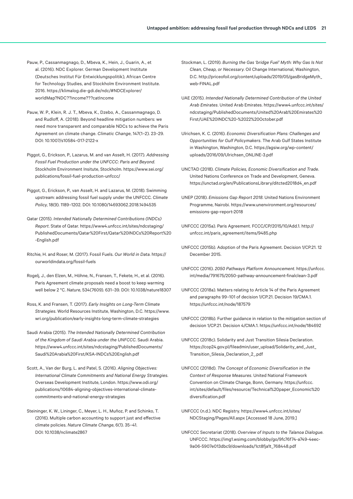- Pauw, P., Cassanmagnago, D., Mbeva, K., Hein, J., Guarin, A., et al. (2016). NDC Explorer. German Development Institute (Deutsches Institut Für Entwicklungspolitik), African Centre for Technology Studies, and Stockholm Environment Institute. 2016. [https://klimalog.die-gdi.de/ndc/#NDCExplorer/](https://klimalog.die-gdi.de/ndc/#NDCExplorer/worldMap?NDC??income???catIncome) [worldMap?NDC??income???catIncome](https://klimalog.die-gdi.de/ndc/#NDCExplorer/worldMap?NDC??income???catIncome)
- Pauw, W. P., Klein, R. J. T., Mbeva, K., Dzebo, A., Cassanmagnago, D. and Rudloff, A. (2018). Beyond headline mitigation numbers: we need more transparent and comparable NDCs to achieve the Paris Agreement on climate change. *Climatic Change*, 147(1–2). 23–29. [DOI: 10.1007/s10584-017-2122-x](https://doi.org/10.1007/s10584-017-2122-x)
- Piggot, G., Erickson, P., Lazarus, M. and van Asselt, H. (2017). *Addressing Fossil Fuel Production under the UNFCCC: Paris and Beyond*. Stockholm Environment Insitute, Stockholm. [https://www.sei.org/](https://www.sei.org/publications/fossil-fuel-production-unfccc/) [publications/fossil-fuel-production-unfccc/](https://www.sei.org/publications/fossil-fuel-production-unfccc/)
- Piggot, G., Erickson, P., van Asselt, H. and Lazarus, M. (2018). Swimming upstream: addressing fossil fuel supply under the UNFCCC. *Climate Policy*, 18(9). 1189–1202. [DOI: 10.1080/14693062.2018.1494535](https://doi.org/10.1080/14693062.2018.1494535)
- Qatar (2015). *Intended Nationally Determined Contributions (INDCs) Report*. State of Qatar. [https://www4.unfccc.int/sites/ndcstaging/](https://www4.unfccc.int/sites/ndcstaging/PublishedDocuments/Qatar%20First/Qatar%20INDCs%20Report%20-English.pdf) [PublishedDocuments/Qatar%20First/Qatar%20INDCs%20Report%20](https://www4.unfccc.int/sites/ndcstaging/PublishedDocuments/Qatar%20First/Qatar%20INDCs%20Report%20-English.pdf) [-English.pdf](https://www4.unfccc.int/sites/ndcstaging/PublishedDocuments/Qatar%20First/Qatar%20INDCs%20Report%20-English.pdf)
- Ritchie, H. and Roser, M. (2017). Fossil Fuels. *Our World in Data*. [https://](https://ourworldindata.org/fossil-fuels) [ourworldindata.org/fossil-fuels](https://ourworldindata.org/fossil-fuels)
- Rogelj, J., den Elzen, M., Höhne, N., Fransen, T., Fekete, H., et al. (2016). Paris Agreement climate proposals need a boost to keep warming well below 2 °C. *Nature*, 534(7609). 631–39. [DOI: 10.1038/nature18307](https://doi.org/10.1038/nature18307)
- Ross, K. and Fransen, T. (2017). *Early Insights on Long-Term Climate Strategies*. World Resources Institute, Washington, D.C. [https://www.](https://www.wri.org/publication/early-insights-long-term-climate-strategies) [wri.org/publication/early-insights-long-term-climate-strategies](https://www.wri.org/publication/early-insights-long-term-climate-strategies)
- Saudi Arabia (2015). *The Intended Nationally Determined Contribution of the Kingdom of Saudi Arabia under the UNFCCC*. Saudi Arabia. [https://www4.unfccc.int/sites/ndcstaging/PublishedDocuments/](https://www4.unfccc.int/sites/ndcstaging/PublishedDocuments/Saudi%20Arabia%20First/KSA-INDCs%20English.pdf) [Saudi%20Arabia%20First/KSA-INDCs%20English.pdf](https://www4.unfccc.int/sites/ndcstaging/PublishedDocuments/Saudi%20Arabia%20First/KSA-INDCs%20English.pdf)
- Scott, A., Van der Burg, L. and Patel, S. (2016). *Aligning Objectives: International Climate Commitments and National Energy Strategies*. Overseas Development Institute, London. [https://www.odi.org/](https://www.odi.org/publications/10684-aligning-objectives-international-climate-commitments-and-national-energy-strategies) [publications/10684-aligning-objectives-international-climate](https://www.odi.org/publications/10684-aligning-objectives-international-climate-commitments-and-national-energy-strategies)[commitments-and-national-energy-strategies](https://www.odi.org/publications/10684-aligning-objectives-international-climate-commitments-and-national-energy-strategies)
- Steininger, K. W., Lininger, C., Meyer, L. H., Muñoz, P. and Schinko, T. (2016). Multiple carbon accounting to support just and effective climate policies. *Nature Climate Change*, 6(1). 35–41. [DOI: 10.1038/nclimate2867](https://doi.org/10.1038/nclimate2867)
- Stockman, L. (2019). *Burning the Gas 'bridge Fuel' Myth: Why Gas Is Not Clean, Cheap, or Necessary*. Oil Change International, Washington, D.C. [http://priceofoil.org/content/uploads/2019/05/gasBridgeMyth\\_](http://priceofoil.org/content/uploads/2019/05/gasBridgeMyth_web-FINAL.pdf) [web-FINAL.pdf](http://priceofoil.org/content/uploads/2019/05/gasBridgeMyth_web-FINAL.pdf)
- UAE (2015). *Intended Nationally Determined Contribution of the United Arab Emirates*. United Arab Emirates. [https://www4.unfccc.int/sites/](https://www4.unfccc.int/sites/ndcstaging/PublishedDocuments/United%20Arab%20Emirates%20First/UAE%20INDC%20-%2022%20October.pdf) [ndcstaging/PublishedDocuments/United%20Arab%20Emirates%20](https://www4.unfccc.int/sites/ndcstaging/PublishedDocuments/United%20Arab%20Emirates%20First/UAE%20INDC%20-%2022%20October.pdf) [First/UAE%20INDC%20-%2022%20October.pdf](https://www4.unfccc.int/sites/ndcstaging/PublishedDocuments/United%20Arab%20Emirates%20First/UAE%20INDC%20-%2022%20October.pdf)
- Ulrichsen, K. C. (2016). *Economic Diversification Plans: Challenges and Opportunities for Gulf Policymakers*. The Arab Gulf States Institute in Washington, Washington, D.C. [https://agsiw.org/wp-content/](https://agsiw.org/wp-content/uploads/2016/09/Ulrichsen_ONLINE-3.pdf) [uploads/2016/09/Ulrichsen\\_ONLINE-3.pdf](https://agsiw.org/wp-content/uploads/2016/09/Ulrichsen_ONLINE-3.pdf)
- UNCTAD (2018). *Climate Policies, Economic Diversification and Trade*. United Nations Conference on Trade and Development, Geneva. [https://unctad.org/en/PublicationsLibrary/ditcted2018d4\\_en.pdf](https://unctad.org/en/PublicationsLibrary/ditcted2018d4_en.pdf)
- UNEP (2018). *Emissions Gap Report 2018*. United Nations Environment Programme, Nairobi. [https://www.unenvironment.org/resources/](https://www.unenvironment.org/resources/emissions-gap-report-2018) [emissions-gap-report-2018](https://www.unenvironment.org/resources/emissions-gap-report-2018)
- UNFCCC (2015a). Paris Agreement. FCCC/CP/2015/10/Add.1. [http://](http://unfccc.int/paris_agreement/items/9485.php) [unfccc.int/paris\\_agreement/items/9485.php](http://unfccc.int/paris_agreement/items/9485.php)
- UNFCCC (2015b). Adoption of the Paris Agreement. Decision 1/CP.21. 12 December 2015.
- UNFCCC (2016). *2050 Pathways Platform Announcement*. [https://unfccc.](https://unfccc.int/media/791675/2050-pathway-announcement-finalclean-3.pdf) [int/media/791675/2050-pathway-announcement-finalclean-3.pdf](https://unfccc.int/media/791675/2050-pathway-announcement-finalclean-3.pdf)
- UNFCCC (2018a). Matters relating to Article 14 of the Paris Agreement and paragraphs 99–101 of decision 1/CP.21. Decision 19/CMA.1. <https://unfccc.int/node/187579>
- UNFCCC (2018b). Further guidance in relation to the mitigation section of decision 1/CP.21. Decision 4/CMA.1.<https://unfccc.int/node/184692>
- UNFCCC (2018c). Solidarity and Just Transition Silesia Declaration. [https://cop24.gov.pl/fileadmin/user\\_upload/Solidarity\\_and\\_Just\\_](https://cop24.gov.pl/fileadmin/user_upload/Solidarity_and_Just_Transition_Silesia_Declaration_2_.pdf) [Transition\\_Silesia\\_Declaration\\_2\\_.pdf](https://cop24.gov.pl/fileadmin/user_upload/Solidarity_and_Just_Transition_Silesia_Declaration_2_.pdf)
- UNFCCC (2018d). *The Concept of Economic Diversification in the Context of Response Measures*. United National Framework Convention on Climate Change, Bonn, Germany. [https://unfccc.](https://unfccc.int/sites/default/files/resource/Technical%20paper_Economic%20diversification.pdf) [int/sites/default/files/resource/Technical%20paper\\_Economic%20](https://unfccc.int/sites/default/files/resource/Technical%20paper_Economic%20diversification.pdf) [diversification.pdf](https://unfccc.int/sites/default/files/resource/Technical%20paper_Economic%20diversification.pdf)
- UNFCCC (n.d.). NDC Registry. [https://www4.unfccc.int/sites/](https://www4.unfccc.int/sites/NDCStaging/Pages/All.aspx) [NDCStaging/Pages/All.aspx](https://www4.unfccc.int/sites/NDCStaging/Pages/All.aspx) [Accessed 18 June, 2019.]
- UNFCCC Secretariat (2018). *Overview of Inputs to the Talanoa Dialogue*. UNFCCC. [https://img1.wsimg.com/blobby/go/9fc76f74-a749-4eec-](https://img1.wsimg.com/blobby/go/9fc76f74-a749-4eec-9a06-5907e013dbc9/downloads/1ct8fja1t_768448.pdf)[9a06-5907e013dbc9/downloads/1ct8fja1t\\_768448.pdf](https://img1.wsimg.com/blobby/go/9fc76f74-a749-4eec-9a06-5907e013dbc9/downloads/1ct8fja1t_768448.pdf)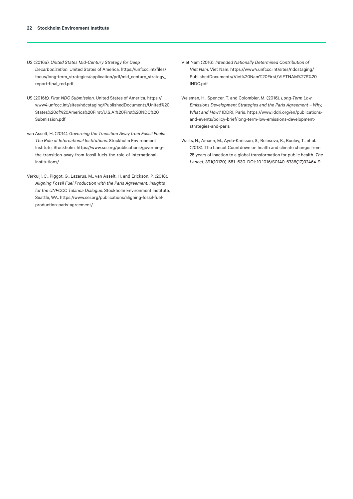- US (2016a). *United States Mid-Century Strategy for Deep Decarbonization*. United States of America. [https://unfccc.int/files/](https://unfccc.int/files/focus/long-term_strategies/application/pdf/mid_century_strategy_report-final_red.pdf) [focus/long-term\\_strategies/application/pdf/mid\\_century\\_strategy\\_](https://unfccc.int/files/focus/long-term_strategies/application/pdf/mid_century_strategy_report-final_red.pdf) [report-final\\_red.pdf](https://unfccc.int/files/focus/long-term_strategies/application/pdf/mid_century_strategy_report-final_red.pdf)
- US (2016b). *First NDC Submission*. United States of America. [https://](https://www4.unfccc.int/sites/ndcstaging/PublishedDocuments/United%20States%20of%20America%20First/U.S.A.%20First%20NDC%20Submission.pdf) [www4.unfccc.int/sites/ndcstaging/PublishedDocuments/United%20](https://www4.unfccc.int/sites/ndcstaging/PublishedDocuments/United%20States%20of%20America%20First/U.S.A.%20First%20NDC%20Submission.pdf) [States%20of%20America%20First/U.S.A.%20First%20NDC%20](https://www4.unfccc.int/sites/ndcstaging/PublishedDocuments/United%20States%20of%20America%20First/U.S.A.%20First%20NDC%20Submission.pdf) [Submission.pdf](https://www4.unfccc.int/sites/ndcstaging/PublishedDocuments/United%20States%20of%20America%20First/U.S.A.%20First%20NDC%20Submission.pdf)
- van Asselt, H. (2014). *Governing the Transition Away from Fossil Fuels: The Role of International Institutions*. Stockholm Environment Institute, Stockholm. [https://www.sei.org/publications/governing](https://www.sei.org/publications/governing-the-transition-away-from-fossil-fuels-the-role-of-international-institutions/)[the-transition-away-from-fossil-fuels-the-role-of-international](https://www.sei.org/publications/governing-the-transition-away-from-fossil-fuels-the-role-of-international-institutions/)[institutions/](https://www.sei.org/publications/governing-the-transition-away-from-fossil-fuels-the-role-of-international-institutions/)
- Verkuijl, C., Piggot, G., Lazarus, M., van Asselt, H. and Erickson, P. (2018). *Aligning Fossil Fuel Production with the Paris Agreement: Insights for the UNFCCC Talanoa Dialogue*. Stockholm Environment Institute, Seattle, WA. [https://www.sei.org/publications/aligning-fossil-fuel](https://www.sei.org/publications/aligning-fossil-fuel-production-paris-agreement/)[production-paris-agreement/](https://www.sei.org/publications/aligning-fossil-fuel-production-paris-agreement/)
- Viet Nam (2016). *Intended Nationally Determined Contribution of Viet Nam*. Viet Nam. [https://www4.unfccc.int/sites/ndcstaging/](https://www4.unfccc.int/sites/ndcstaging/PublishedDocuments/Viet%20Nam%20First/VIETNAM%27S%20INDC.pdf) [PublishedDocuments/Viet%20Nam%20First/VIETNAM%27S%20](https://www4.unfccc.int/sites/ndcstaging/PublishedDocuments/Viet%20Nam%20First/VIETNAM%27S%20INDC.pdf) [INDC.pdf](https://www4.unfccc.int/sites/ndcstaging/PublishedDocuments/Viet%20Nam%20First/VIETNAM%27S%20INDC.pdf)
- Waisman, H., Spencer, T. and Colombier, M. (2016). *Long-Term Low Emissions Development Strategies and the Paris Agreement – Why, What and How?* IDDRI, Paris. [https://www.iddri.org/en/publications](https://www.iddri.org/en/publications-and-events/policy-brief/long-term-low-emissions-development-strategies-and-paris)[and-events/policy-brief/long-term-low-emissions-development](https://www.iddri.org/en/publications-and-events/policy-brief/long-term-low-emissions-development-strategies-and-paris)[strategies-and-paris](https://www.iddri.org/en/publications-and-events/policy-brief/long-term-low-emissions-development-strategies-and-paris)
- Watts, N., Amann, M., Ayeb-Karlsson, S., Belesova, K., Bouley, T., et al. (2018). The Lancet Countdown on health and climate change: from 25 years of inaction to a global transformation for public health. *The Lancet*, 391(10120). 581–630. [DOI: 10.1016/S0140-6736\(17\)32464-9](https://doi.org/10.1016/S0140-6736(17)32464-9)